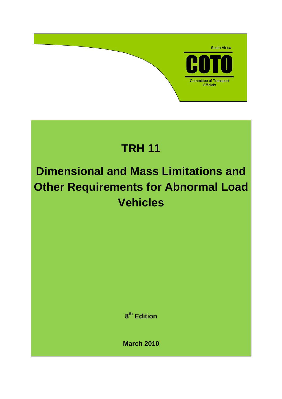

# **TRH 11**

# **Dimensional and Mass Limitations and Other Requirements for Abnormal Load Vehicles**

**8 th Edition** 

**March 2010**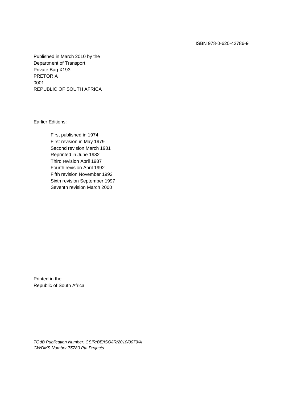Published in March 2010 by the Department of Transport Private Bag X193 PRETORIA 0001 REPUBLIC OF SOUTH AFRICA

Earlier Editions:

First published in 1974 First revision in May 1979 Second revision March 1981 Reprinted in June 1982 Third revision April 1987 Fourth revision April 1992 Fifth revision November 1992 Sixth revision September 1997 Seventh revision March 2000

Printed in the Republic of South Africa

TOdB Publication Number: CSIR/BE/ISO/IR/2010/0079/A GWDMS Number 75780 Pta Projects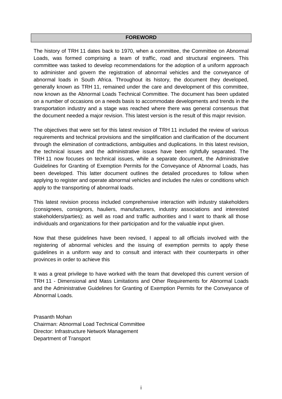#### **FOREWORD**

The history of TRH 11 dates back to 1970, when a committee, the Committee on Abnormal Loads, was formed comprising a team of traffic, road and structural engineers. This committee was tasked to develop recommendations for the adoption of a uniform approach to administer and govern the registration of abnormal vehicles and the conveyance of abnormal loads in South Africa. Throughout its history, the document they developed, generally known as TRH 11, remained under the care and development of this committee, now known as the Abnormal Loads Technical Committee. The document has been updated on a number of occasions on a needs basis to accommodate developments and trends in the transportation industry and a stage was reached where there was general consensus that the document needed a major revision. This latest version is the result of this major revision.

The objectives that were set for this latest revision of TRH 11 included the review of various requirements and technical provisions and the simplification and clarification of the document through the elimination of contradictions, ambiguities and duplications. In this latest revision, the technical issues and the administrative issues have been rightfully separated. The TRH 11 now focuses on technical issues, while a separate document, the Administrative Guidelines for Granting of Exemption Permits for the Conveyance of Abnormal Loads, has been developed. This latter document outlines the detailed procedures to follow when applying to register and operate abnormal vehicles and includes the rules or conditions which apply to the transporting of abnormal loads.

This latest revision process included comprehensive interaction with industry stakeholders (consignees, consignors, hauliers, manufacturers, industry associations and interested stakeholders/parties); as well as road and traffic authorities and I want to thank all those individuals and organizations for their participation and for the valuable input given.

Now that these guidelines have been revised, I appeal to all officials involved with the registering of abnormal vehicles and the issuing of exemption permits to apply these guidelines in a uniform way and to consult and interact with their counterparts in other provinces in order to achieve this

It was a great privilege to have worked with the team that developed this current version of TRH 11 - Dimensional and Mass Limitations and Other Requirements for Abnormal Loads and the Administrative Guidelines for Granting of Exemption Permits for the Conveyance of Abnormal Loads.

Prasanth Mohan Chairman: Abnormal Load Technical Committee Director: Infrastructure Network Management Department of Transport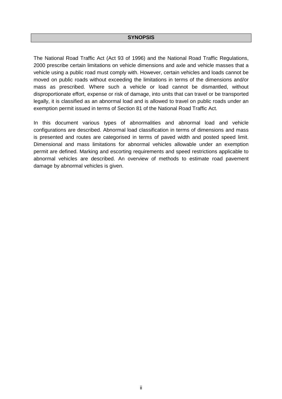#### **SYNOPSIS**

The National Road Traffic Act (Act 93 of 1996) and the National Road Traffic Regulations, 2000 prescribe certain limitations on vehicle dimensions and axle and vehicle masses that a vehicle using a public road must comply with. However, certain vehicles and loads cannot be moved on public roads without exceeding the limitations in terms of the dimensions and/or mass as prescribed. Where such a vehicle or load cannot be dismantled, without disproportionate effort, expense or risk of damage, into units that can travel or be transported legally, it is classified as an abnormal load and is allowed to travel on public roads under an exemption permit issued in terms of Section 81 of the National Road Traffic Act.

In this document various types of abnormalities and abnormal load and vehicle configurations are described. Abnormal load classification in terms of dimensions and mass is presented and routes are categorised in terms of paved width and posted speed limit. Dimensional and mass limitations for abnormal vehicles allowable under an exemption permit are defined. Marking and escorting requirements and speed restrictions applicable to abnormal vehicles are described. An overview of methods to estimate road pavement damage by abnormal vehicles is given.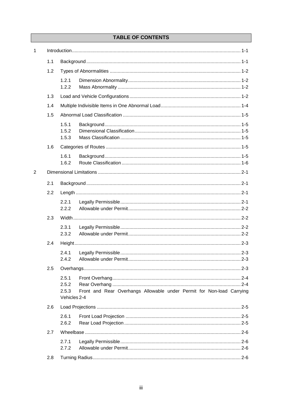# **TABLE OF CONTENTS**

| $\mathbf{1}$   |     |                                         |                                                                       |  |  |
|----------------|-----|-----------------------------------------|-----------------------------------------------------------------------|--|--|
|                | 1.1 |                                         |                                                                       |  |  |
|                | 1.2 |                                         |                                                                       |  |  |
|                |     | 1.2.1<br>1.2.2                          |                                                                       |  |  |
|                | 1.3 |                                         |                                                                       |  |  |
|                | 1.4 |                                         |                                                                       |  |  |
|                | 1.5 |                                         |                                                                       |  |  |
|                |     | 1.5.1<br>1.5.2<br>1.5.3                 |                                                                       |  |  |
|                | 1.6 |                                         |                                                                       |  |  |
|                |     | 1.6.1<br>1.6.2                          |                                                                       |  |  |
| $\overline{2}$ |     |                                         |                                                                       |  |  |
|                | 2.1 |                                         |                                                                       |  |  |
|                | 2.2 |                                         |                                                                       |  |  |
|                |     | 2.2.1<br>2.2.2                          |                                                                       |  |  |
|                | 2.3 |                                         |                                                                       |  |  |
|                |     | 2.3.1<br>2.3.2                          |                                                                       |  |  |
|                | 2.4 |                                         |                                                                       |  |  |
|                |     | 2.4.1<br>2.4.2                          |                                                                       |  |  |
|                | 2.5 |                                         |                                                                       |  |  |
|                |     | 2.5.1<br>2.5.2<br>2.5.3<br>Vehicles 2-4 | Front and Rear Overhangs Allowable under Permit for Non-load Carrying |  |  |
|                | 2.6 |                                         |                                                                       |  |  |
|                |     | 2.6.1<br>2.6.2                          |                                                                       |  |  |
|                | 2.7 |                                         |                                                                       |  |  |
|                |     | 2.7.1<br>2.7.2                          |                                                                       |  |  |
|                | 2.8 |                                         |                                                                       |  |  |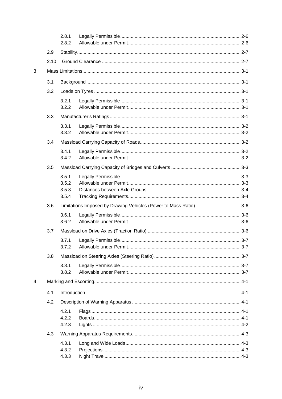|   |      | 2.8.1<br>2.8.2 |                                                                    |  |  |  |
|---|------|----------------|--------------------------------------------------------------------|--|--|--|
|   | 2.9  |                |                                                                    |  |  |  |
|   | 2.10 |                |                                                                    |  |  |  |
| 3 |      |                |                                                                    |  |  |  |
|   |      |                |                                                                    |  |  |  |
|   | 3.1  |                |                                                                    |  |  |  |
|   | 3.2  |                |                                                                    |  |  |  |
|   |      | 3.2.1<br>3.2.2 |                                                                    |  |  |  |
|   | 3.3  |                |                                                                    |  |  |  |
|   |      | 3.3.1<br>3.3.2 |                                                                    |  |  |  |
|   | 3.4  |                |                                                                    |  |  |  |
|   |      | 3.4.1          |                                                                    |  |  |  |
|   |      | 3.4.2          |                                                                    |  |  |  |
|   | 3.5  |                |                                                                    |  |  |  |
|   |      | 3.5.1          |                                                                    |  |  |  |
|   |      | 3.5.2<br>3.5.3 |                                                                    |  |  |  |
|   |      | 3.5.4          |                                                                    |  |  |  |
|   | 3.6  |                | Limitations Imposed by Drawing Vehicles (Power to Mass Ratio)  3-6 |  |  |  |
|   |      | 3.6.1          |                                                                    |  |  |  |
|   |      | 3.6.2          |                                                                    |  |  |  |
|   | 3.7  |                |                                                                    |  |  |  |
|   |      | 3.7.1          |                                                                    |  |  |  |
|   |      | 3.7.2          |                                                                    |  |  |  |
|   | 3.8  |                |                                                                    |  |  |  |
|   |      | 3.8.1          |                                                                    |  |  |  |
|   |      | 3.8.2          |                                                                    |  |  |  |
| 4 |      |                |                                                                    |  |  |  |
|   | 4.1  |                |                                                                    |  |  |  |
|   | 4.2  |                |                                                                    |  |  |  |
|   |      | 4.2.1          |                                                                    |  |  |  |
|   |      | 4.2.2          |                                                                    |  |  |  |
|   |      | 4.2.3          |                                                                    |  |  |  |
|   | 4.3  |                |                                                                    |  |  |  |
|   |      | 4.3.1<br>4.3.2 |                                                                    |  |  |  |
|   |      | 4.3.3          |                                                                    |  |  |  |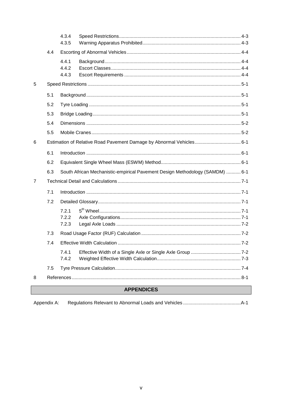|                |     | 4.3.4                                                                        |  |
|----------------|-----|------------------------------------------------------------------------------|--|
|                |     | 4.3.5                                                                        |  |
|                | 4.4 |                                                                              |  |
|                |     | 4.4.1                                                                        |  |
|                |     | 4.4.2                                                                        |  |
|                |     | 4.4.3                                                                        |  |
| 5              |     |                                                                              |  |
|                | 5.1 |                                                                              |  |
|                | 5.2 |                                                                              |  |
|                | 5.3 |                                                                              |  |
|                | 5.4 |                                                                              |  |
|                | 5.5 |                                                                              |  |
| 6              |     | Estimation of Relative Road Pavement Damage by Abnormal Vehicles 6-1         |  |
|                | 6.1 |                                                                              |  |
|                | 6.2 |                                                                              |  |
|                | 6.3 | South African Mechanistic-empirical Pavement Design Methodology (SAMDM)  6-1 |  |
| $\overline{7}$ |     |                                                                              |  |
|                | 7.1 |                                                                              |  |
|                | 7.2 |                                                                              |  |
|                |     | 7.2.1                                                                        |  |
|                |     | 7.2.2                                                                        |  |
|                |     | 7.2.3                                                                        |  |
|                | 7.3 |                                                                              |  |
|                | 7.4 |                                                                              |  |
|                |     | 7.4.1                                                                        |  |
|                |     | 7.4.2                                                                        |  |
|                | 7.5 |                                                                              |  |
| 8              |     |                                                                              |  |

# **APPENDICES**

| Appendix A: |  |
|-------------|--|
|             |  |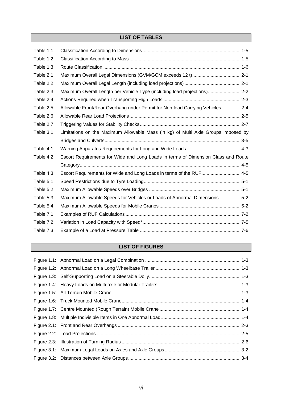# **LIST OF TABLES**

| <b>Table 1.1:</b> |                                                                                   |  |
|-------------------|-----------------------------------------------------------------------------------|--|
| Table 1.2:        |                                                                                   |  |
| <b>Table 1.3:</b> |                                                                                   |  |
| Table 2.1:        |                                                                                   |  |
| Table 2.2:        |                                                                                   |  |
| Table 2.3         | Maximum Overall Length per Vehicle Type (including load projections) 2-2          |  |
| Table 2.4:        |                                                                                   |  |
| Table 2.5:        | Allowable Front/Rear Overhang under Permit for Non-load Carrying Vehicles.  2-4   |  |
| Table 2.6:        |                                                                                   |  |
| <b>Table 2.7:</b> |                                                                                   |  |
| Table 3.1:        | Limitations on the Maximum Allowable Mass (in kg) of Multi Axle Groups imposed by |  |
|                   |                                                                                   |  |
| Table 4.1:        |                                                                                   |  |
| Table 4.2:        | Escort Requirements for Wide and Long Loads in terms of Dimension Class and Route |  |
|                   |                                                                                   |  |
| <b>Table 4.3:</b> | Escort Requirements for Wide and Long Loads in terms of the RUF 4-5               |  |
| Table 5.1:        |                                                                                   |  |
| Table 5.2:        |                                                                                   |  |
| Table 5.3:        | Maximum Allowable Speeds for Vehicles or Loads of Abnormal Dimensions  5-2        |  |
| Table 5.4:        |                                                                                   |  |
| Table 7.1:        |                                                                                   |  |
| Table 7.2:        |                                                                                   |  |
| Table 7.3:        |                                                                                   |  |

# **LIST OF FIGURES**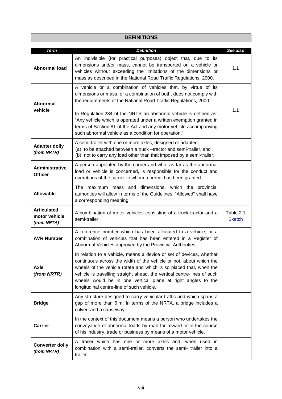# **DEFINITIONS**

| <b>Term</b>                                        | <b>Definition</b>                                                                                                                                                                                                                                                                                                                                                                                                       | See also                   |
|----------------------------------------------------|-------------------------------------------------------------------------------------------------------------------------------------------------------------------------------------------------------------------------------------------------------------------------------------------------------------------------------------------------------------------------------------------------------------------------|----------------------------|
| <b>Abnormal load</b>                               | An indivisible (for practical purposes) object that, due to its<br>dimensions and/or mass, cannot be transported on a vehicle or<br>vehicles without exceeding the limitations of the dimensions or<br>mass as described in the National Road Traffic Regulations, 2000.                                                                                                                                                | 1.1                        |
| <b>Abnormal</b><br>vehicle                         | A vehicle or a combination of vehicles that, by virtue of its<br>dimensions or mass, or a combination of both, does not comply with<br>the requirements of the National Road Traffic Regulations, 2000.<br>In Regulation 284 of the NRTR an abnormal vehicle is defined as:<br>"Any vehicle which is operated under a written exemption granted in<br>terms of Section 81 of the Act and any motor vehicle accompanying | 1.1                        |
|                                                    | such abnormal vehicle as a condition for operation."                                                                                                                                                                                                                                                                                                                                                                    |                            |
| <b>Adapter dolly</b><br>(from NRTR)                | A semi-trailer with one or more axles, designed or adapted -<br>(a) to be attached between a truck -tractor and semi-trailer, and<br>(b) not to carry any load other than that imposed by a semi-trailer.                                                                                                                                                                                                               |                            |
| Administrative<br><b>Officer</b>                   | A person appointed by the carrier and who, as far as the abnormal<br>load or vehicle is concerned, is responsible for the conduct and<br>operations of the carrier to whom a permit has been granted.                                                                                                                                                                                                                   |                            |
| <b>Allowable</b>                                   | The maximum mass and dimensions, which the provincial<br>authorities will allow in terms of the Guidelines. "Allowed" shall have<br>a corresponding meaning.                                                                                                                                                                                                                                                            |                            |
| <b>Articulated</b><br>motor vehicle<br>(from NRTA) | A combination of motor vehicles consisting of a truck-tractor and a<br>semi-trailer.                                                                                                                                                                                                                                                                                                                                    | Table 2.1<br><b>Sketch</b> |
| <b>AVR Number</b>                                  | A reference number which has been allocated to a vehicle, or a<br>combination of vehicles that has been entered in a Register of<br>Abnormal Vehicles approved by the Provincial Authorities.                                                                                                                                                                                                                           |                            |
| Axle<br>(from NRTR)                                | In relation to a vehicle, means a device or set of devices, whether<br>continuous across the width of the vehicle or not, about which the<br>wheels of the vehicle rotate and which is so placed that, when the<br>vehicle is travelling straight ahead, the vertical centre-lines of such<br>wheels would be in one vertical plane at right angles to the<br>longitudinal centre-line of such vehicle.                 |                            |
| <b>Bridge</b>                                      | Any structure designed to carry vehicular traffic and which spans a<br>gap of more than 6 m. In terms of the NRTA, a bridge includes a<br>culvert and a causeway.                                                                                                                                                                                                                                                       |                            |
| <b>Carrier</b>                                     | In the context of this document means a person who undertakes the<br>conveyance of abnormal loads by road for reward or in the course<br>of his industry, trade or business by means of a motor vehicle.                                                                                                                                                                                                                |                            |
| <b>Converter dolly</b><br>(from NRTR)              | A trailer which has one or more axles and, when used in<br>combination with a semi-trailer, converts the semi- trailer into a<br>trailer.                                                                                                                                                                                                                                                                               |                            |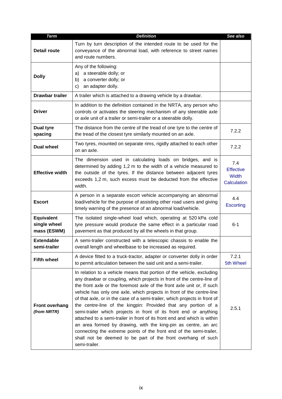| <b>Term</b>                                      | <b>Definition</b>                                                                                                                                                                                                                                                                                                                                                                                                                                                                                                                                                                                                                                                                                                                                                                                                             | See also                                        |
|--------------------------------------------------|-------------------------------------------------------------------------------------------------------------------------------------------------------------------------------------------------------------------------------------------------------------------------------------------------------------------------------------------------------------------------------------------------------------------------------------------------------------------------------------------------------------------------------------------------------------------------------------------------------------------------------------------------------------------------------------------------------------------------------------------------------------------------------------------------------------------------------|-------------------------------------------------|
| <b>Detail route</b>                              | Turn by turn description of the intended route to be used for the<br>conveyance of the abnormal load, with reference to street names<br>and route numbers.                                                                                                                                                                                                                                                                                                                                                                                                                                                                                                                                                                                                                                                                    |                                                 |
| <b>Dolly</b>                                     | Any of the following:<br>a steerable dolly; or<br>a)<br>a converter dolly; or<br>b)<br>an adapter dolly.<br>c)                                                                                                                                                                                                                                                                                                                                                                                                                                                                                                                                                                                                                                                                                                                |                                                 |
| <b>Drawbar trailer</b>                           | A trailer which is attached to a drawing vehicle by a drawbar.                                                                                                                                                                                                                                                                                                                                                                                                                                                                                                                                                                                                                                                                                                                                                                |                                                 |
| <b>Driver</b>                                    | In addition to the definition contained in the NRTA, any person who<br>controls or activates the steering mechanism of any steerable axle<br>or axle unit of a trailer or semi-trailer or a steerable dolly.                                                                                                                                                                                                                                                                                                                                                                                                                                                                                                                                                                                                                  |                                                 |
| <b>Dual tyre</b><br>spacing                      | The distance from the centre of the tread of one tyre to the centre of<br>the tread of the closest tyre similarly mounted on an axle.                                                                                                                                                                                                                                                                                                                                                                                                                                                                                                                                                                                                                                                                                         | 7.2.2                                           |
| <b>Dual wheel</b>                                | Two tyres, mounted on separate rims, rigidly attached to each other<br>on an axle.                                                                                                                                                                                                                                                                                                                                                                                                                                                                                                                                                                                                                                                                                                                                            | 7.2.2                                           |
| <b>Effective width</b>                           | The dimension used in calculating loads on bridges, and is<br>determined by adding 1,2 m to the width of a vehicle measured to<br>the outside of the tyres. If the distance between adjacent tyres<br>exceeds 1,2 m, such excess must be deducted from the effective<br>width.                                                                                                                                                                                                                                                                                                                                                                                                                                                                                                                                                | 7.4<br><b>Effective</b><br>Width<br>Calculation |
| <b>Escort</b>                                    | A person in a separate escort vehicle accompanying an abnormal<br>load/vehicle for the purpose of assisting other road users and giving<br>timely warning of the presence of an abnormal load/vehicle.                                                                                                                                                                                                                                                                                                                                                                                                                                                                                                                                                                                                                        | 4.4<br><b>Escorting</b>                         |
| <b>Equivalent</b><br>single wheel<br>mass (ESWM) | The isolated single-wheel load which, operating at 520 kPa cold<br>tyre pressure would produce the same effect in a particular road<br>pavement as that produced by all the wheels in that group.                                                                                                                                                                                                                                                                                                                                                                                                                                                                                                                                                                                                                             | $6 - 1$                                         |
| <b>Extendable</b><br>semi-trailer                | A semi-trailer constructed with a telescopic chassis to enable the<br>overall length and wheelbase to be increased as required.                                                                                                                                                                                                                                                                                                                                                                                                                                                                                                                                                                                                                                                                                               |                                                 |
| <b>Fifth wheel</b>                               | A device fitted to a truck-tractor, adapter or converter dolly in order<br>to permit articulation between the said unit and a semi-trailer.                                                                                                                                                                                                                                                                                                                                                                                                                                                                                                                                                                                                                                                                                   | 7.2.1<br>5th Wheel                              |
| <b>Front overhang</b><br>(from NRTR)             | In relation to a vehicle means that portion of the vehicle, excluding<br>any drawbar or coupling, which projects in front of the centre-line of<br>the front axle or the foremost axle of the front axle unit or, if such<br>vehicle has only one axle, which projects in front of the centre-line<br>of that axle, or in the case of a semi-trailer, which projects in front of<br>the centre-line of the kingpin: Provided that any portion of a<br>semi-trailer which projects in front of its front end or anything<br>attached to a semi-trailer in front of its front end and which is within<br>an area formed by drawing, with the king-pin as centre, an arc<br>connecting the extreme points of the front end of the semi-trailer,<br>shall not be deemed to be part of the front overhang of such<br>semi-trailer. | 2.5.1                                           |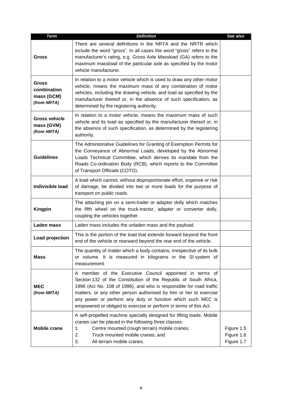| <b>Term</b>                                              | <b>Definition</b>                                                                                                                                                                                                                                                                                                                                                                                           | See also                               |
|----------------------------------------------------------|-------------------------------------------------------------------------------------------------------------------------------------------------------------------------------------------------------------------------------------------------------------------------------------------------------------------------------------------------------------------------------------------------------------|----------------------------------------|
| <b>Gross</b>                                             | There are several definitions in the NRTA and the NRTR which<br>include the word "gross". In all cases the word "gross" refers to the<br>manufacturer's rating, e.g. Gross Axle Massload (GA) refers to the<br>maximum massload of the particular axle as specified by the motor<br>vehicle manufacturer.                                                                                                   |                                        |
| <b>Gross</b><br>combination<br>mass (GCM)<br>(from NRTA) | In relation to a motor vehicle which is used to draw any other motor<br>vehicle, means the maximum mass of any combination of motor<br>vehicles, including the drawing vehicle, and load as specified by the<br>manufacturer thereof or, in the absence of such specification, as<br>determined by the registering authority.                                                                               |                                        |
| <b>Gross vehicle</b><br>mass (GVM)<br>(from NRTA)        | In relation to a motor vehicle, means the maximum mass of such<br>vehicle and its load as specified by the manufacturer thereof or, in<br>the absence of such specification, as determined by the registering<br>authority.                                                                                                                                                                                 |                                        |
| <b>Guidelines</b>                                        | The Administrative Guidelines for Granting of Exemption Permits for<br>the Conveyance of Abnormal Loads, developed by the Abnormal<br>Loads Technical Committee, which derives its mandate from the<br>Roads Co-ordination Body (RCB), which reports to the Committee<br>of Transport Officials (COTO).                                                                                                     |                                        |
| <b>Indivisible load</b>                                  | A load which cannot, without disproportionate effort, expense or risk<br>of damage, be divided into two or more loads for the purpose of<br>transport on public roads.                                                                                                                                                                                                                                      |                                        |
| <b>Kingpin</b>                                           | The attaching pin on a semi-trailer or adapter dolly which matches<br>the fifth wheel on the truck-tractor, adapter or converter dolly,<br>coupling the vehicles together.                                                                                                                                                                                                                                  |                                        |
| <b>Laden mass</b>                                        | Laden mass includes the unladen mass and the payload.                                                                                                                                                                                                                                                                                                                                                       |                                        |
| Load projection                                          | This is the portion of the load that extends forward beyond the front<br>end of the vehicle or rearward beyond the rear end of the vehicle.                                                                                                                                                                                                                                                                 |                                        |
| <b>Mass</b>                                              | The quantity of matter which a body contains, irrespective of its bulk<br>or volume. It is measured in kilograms in the SI system of<br>measurement.                                                                                                                                                                                                                                                        |                                        |
| <b>MEC</b><br>(from NRTA)                                | A member of the Executive Council appointed in terms of<br>Section 132 of the Constitution of the Republic of South Africa,<br>1996 (Act No. 108 of 1996), and who is responsible for road traffic<br>matters, or any other person authorised by him or her to exercise<br>any power or perform any duty or function which such MEC is<br>empowered or obliged to exercise or perform in terms of this Act. |                                        |
| <b>Mobile crane</b>                                      | A self-propelled machine specially designed for lifting loads. Mobile<br>cranes can be placed in the following three classes:<br>Centre mounted (rough terrain) mobile cranes;<br>1.<br>Truck mounted mobile cranes; and<br>2.<br>3.<br>All terrain mobile cranes.                                                                                                                                          | Figure 1.5<br>Figure 1.6<br>Figure 1.7 |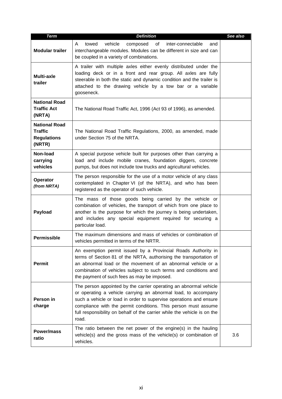| <b>Term</b>                                                            | <b>Definition</b>                                                                                                                                                                                                                                                                                                                                                | See also |
|------------------------------------------------------------------------|------------------------------------------------------------------------------------------------------------------------------------------------------------------------------------------------------------------------------------------------------------------------------------------------------------------------------------------------------------------|----------|
| <b>Modular trailer</b>                                                 | vehicle<br>towed<br>composed<br>of<br>inter-connectable<br>A<br>and<br>interchangeable modules. Modules can be different in size and can<br>be coupled in a variety of combinations.                                                                                                                                                                             |          |
| <b>Multi-axle</b><br>trailer                                           | A trailer with multiple axles either evenly distributed under the<br>loading deck or in a front and rear group. All axles are fully<br>steerable in both the static and dynamic condition and the trailer is<br>attached to the drawing vehicle by a tow bar or a variable<br>gooseneck.                                                                         |          |
| <b>National Road</b><br><b>Traffic Act</b><br>(NRTA)                   | The National Road Traffic Act, 1996 (Act 93 of 1996), as amended.                                                                                                                                                                                                                                                                                                |          |
| <b>National Road</b><br><b>Traffic</b><br><b>Regulations</b><br>(NRTR) | The National Road Traffic Regulations, 2000, as amended, made<br>under Section 75 of the NRTA.                                                                                                                                                                                                                                                                   |          |
| Non-load<br>carrying<br>vehicles                                       | A special purpose vehicle built for purposes other than carrying a<br>load and include mobile cranes, foundation diggers, concrete<br>pumps, but does not include tow trucks and agricultural vehicles.                                                                                                                                                          |          |
| Operator<br>(from NRTA)                                                | The person responsible for the use of a motor vehicle of any class<br>contemplated in Chapter VI (of the NRTA), and who has been<br>registered as the operator of such vehicle.                                                                                                                                                                                  |          |
| <b>Payload</b>                                                         | The mass of those goods being carried by the vehicle or<br>combination of vehicles, the transport of which from one place to<br>another is the purpose for which the journey is being undertaken,<br>and includes any special equipment required for securing a<br>particular load.                                                                              |          |
| <b>Permissible</b>                                                     | The maximum dimensions and mass of vehicles or combination of<br>vehicles permitted in terms of the NRTR.                                                                                                                                                                                                                                                        |          |
| <b>Permit</b>                                                          | An exemption permit issued by a Provincial Roads Authority in<br>terms of Section 81 of the NRTA, authorising the transportation of<br>an abnormal load or the movement of an abnormal vehicle or a<br>combination of vehicles subject to such terms and conditions and<br>the payment of such fees as may be imposed.                                           |          |
| Person in<br>charge                                                    | The person appointed by the carrier operating an abnormal vehicle<br>or operating a vehicle carrying an abnormal load, to accompany<br>such a vehicle or load in order to supervise operations and ensure<br>compliance with the permit conditions. This person must assume<br>full responsibility on behalf of the carrier while the vehicle is on the<br>road. |          |
| Power/mass<br>ratio                                                    | The ratio between the net power of the engine(s) in the hauling<br>vehicle(s) and the gross mass of the vehicle(s) or combination of<br>vehicles.                                                                                                                                                                                                                | 3.6      |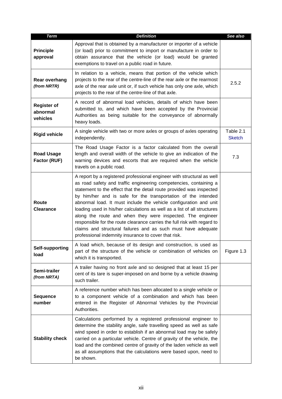| <b>Term</b>                                | <b>Definition</b>                                                                                                                                                                                                                                                                                                                                                                                                                                                                                                                                                                                                                                                                                        | See also                   |
|--------------------------------------------|----------------------------------------------------------------------------------------------------------------------------------------------------------------------------------------------------------------------------------------------------------------------------------------------------------------------------------------------------------------------------------------------------------------------------------------------------------------------------------------------------------------------------------------------------------------------------------------------------------------------------------------------------------------------------------------------------------|----------------------------|
| <b>Principle</b><br>approval               | Approval that is obtained by a manufacturer or importer of a vehicle<br>(or load) prior to commitment to import or manufacture in order to<br>obtain assurance that the vehicle (or load) would be granted<br>exemptions to travel on a public road in future.                                                                                                                                                                                                                                                                                                                                                                                                                                           |                            |
| Rear overhang<br>(from NRTR)               | In relation to a vehicle, means that portion of the vehicle which<br>projects to the rear of the centre-line of the rear axle or the rearmost<br>axle of the rear axle unit or, if such vehicle has only one axle, which<br>projects to the rear of the centre-line of that axle.                                                                                                                                                                                                                                                                                                                                                                                                                        | 2.5.2                      |
| <b>Register of</b><br>abnormal<br>vehicles | A record of abnormal load vehicles, details of which have been<br>submitted to, and which have been accepted by the Provincial<br>Authorities as being suitable for the conveyance of abnormally<br>heavy loads.                                                                                                                                                                                                                                                                                                                                                                                                                                                                                         |                            |
| <b>Rigid vehicle</b>                       | A single vehicle with two or more axles or groups of axles operating<br>independently.                                                                                                                                                                                                                                                                                                                                                                                                                                                                                                                                                                                                                   | Table 2.1<br><b>Sketch</b> |
| <b>Road Usage</b><br>Factor (RUF)          | The Road Usage Factor is a factor calculated from the overall<br>length and overall width of the vehicle to give an indication of the<br>warning devices and escorts that are required when the vehicle<br>travels on a public road.                                                                                                                                                                                                                                                                                                                                                                                                                                                                     | 7.3                        |
| Route<br><b>Clearance</b>                  | A report by a registered professional engineer with structural as well<br>as road safety and traffic engineering competencies, containing a<br>statement to the effect that the detail route provided was inspected<br>by him/her and is safe for the transportation of the intended<br>abnormal load. It must include the vehicle configuration and unit<br>loading used in his/her calculations as well as a list of all structures<br>along the route and when they were inspected. The engineer<br>responsible for the route clearance carries the full risk with regard to<br>claims and structural failures and as such must have adequate<br>professional indemnity insurance to cover that risk. |                            |
| Self-supporting<br>load                    | A load which, because of its design and construction, is used as<br>part of the structure of the vehicle or combination of vehicles on<br>which it is transported.                                                                                                                                                                                                                                                                                                                                                                                                                                                                                                                                       | Figure 1.3                 |
| Semi-trailer<br>(from NRTA)                | A trailer having no front axle and so designed that at least 15 per<br>cent of its tare is super-imposed on and borne by a vehicle drawing<br>such trailer.                                                                                                                                                                                                                                                                                                                                                                                                                                                                                                                                              |                            |
| <b>Sequence</b><br>number                  | A reference number which has been allocated to a single vehicle or<br>to a component vehicle of a combination and which has been<br>entered in the Register of Abnormal Vehicles by the Provincial<br>Authorities.                                                                                                                                                                                                                                                                                                                                                                                                                                                                                       |                            |
| <b>Stability check</b>                     | Calculations performed by a registered professional engineer to<br>determine the stability angle, safe travelling speed as well as safe<br>wind speed in order to establish if an abnormal load may be safely<br>carried on a particular vehicle. Centre of gravity of the vehicle, the<br>load and the combined centre of gravity of the laden vehicle as well<br>as all assumptions that the calculations were based upon, need to<br>be shown.                                                                                                                                                                                                                                                        |                            |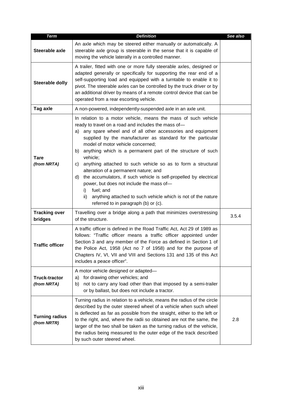| <b>Term</b>                          | <b>Definition</b>                                                                                                                                                                                                                                                                                                                                                                                                                                                                                                                                                                                                                                                                                                                                      | See also |
|--------------------------------------|--------------------------------------------------------------------------------------------------------------------------------------------------------------------------------------------------------------------------------------------------------------------------------------------------------------------------------------------------------------------------------------------------------------------------------------------------------------------------------------------------------------------------------------------------------------------------------------------------------------------------------------------------------------------------------------------------------------------------------------------------------|----------|
| Steerable axle                       | An axle which may be steered either manually or automatically. A<br>steerable axle group is steerable in the sense that it is capable of<br>moving the vehicle laterally in a controlled manner.                                                                                                                                                                                                                                                                                                                                                                                                                                                                                                                                                       |          |
| Steerable dolly                      | A trailer, fitted with one or more fully steerable axles, designed or<br>adapted generally or specifically for supporting the rear end of a<br>self-supporting load and equipped with a turntable to enable it to<br>pivot. The steerable axles can be controlled by the truck driver or by<br>an additional driver by means of a remote control device that can be<br>operated from a rear escorting vehicle.                                                                                                                                                                                                                                                                                                                                         |          |
| Tag axle                             | A non-powered, independently-suspended axle in an axle unit.                                                                                                                                                                                                                                                                                                                                                                                                                                                                                                                                                                                                                                                                                           |          |
| <b>Tare</b><br>(from NRTA)           | In relation to a motor vehicle, means the mass of such vehicle<br>ready to travel on a road and includes the mass of-<br>any spare wheel and of all other accessories and equipment<br>a)<br>supplied by the manufacturer as standard for the particular<br>model of motor vehicle concerned;<br>anything which is a permanent part of the structure of such<br>b)<br>vehicle;<br>anything attached to such vehicle so as to form a structural<br>C)<br>alteration of a permanent nature; and<br>the accumulators, if such vehicle is self-propelled by electrical<br>d)<br>power, but does not include the mass of-<br>fuel; and<br>i)<br>anything attached to such vehicle which is not of the nature<br>ii)<br>referred to in paragraph (b) or (c). |          |
| <b>Tracking over</b><br>bridges      | Travelling over a bridge along a path that minimizes overstressing<br>of the structure.                                                                                                                                                                                                                                                                                                                                                                                                                                                                                                                                                                                                                                                                | 3.5.4    |
| Traffic officer                      | A traffic officer is defined in the Road Traffic Act, Act 29 of 1989 as<br>follows: "Traffic officer means a traffic officer appointed under<br>Section 3 and any member of the Force as defined in Section 1 of<br>the Police Act, 1958 (Act no 7 of 1958) and for the purpose of<br>Chapters IV, VI, VII and VIII and Sections 131 and 135 of this Act<br>includes a peace officer".                                                                                                                                                                                                                                                                                                                                                                 |          |
| <b>Truck-tractor</b><br>(from NRTA)  | A motor vehicle designed or adapted-<br>for drawing other vehicles; and<br>a)<br>not to carry any load other than that imposed by a semi-trailer<br>b)<br>or by ballast, but does not include a tractor.                                                                                                                                                                                                                                                                                                                                                                                                                                                                                                                                               |          |
| <b>Turning radius</b><br>(from NRTR) | Turning radius in relation to a vehicle, means the radius of the circle<br>described by the outer steered wheel of a vehicle when such wheel<br>is deflected as far as possible from the straight, either to the left or<br>to the right, and, where the radii so obtained are not the same, the<br>larger of the two shall be taken as the turning radius of the vehicle,<br>the radius being measured to the outer edge of the track described<br>by such outer steered wheel.                                                                                                                                                                                                                                                                       | 2.8      |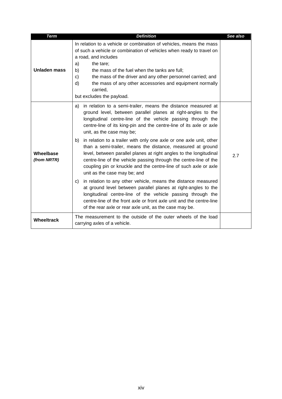| <b>Term</b>              | <b>Definition</b>                                                                                                                                                                                                                                                                                                                                                                                                                                                                                                                                                                                                                                                                                                                                                                                                                                                                                                                                                                                                                            | See also |
|--------------------------|----------------------------------------------------------------------------------------------------------------------------------------------------------------------------------------------------------------------------------------------------------------------------------------------------------------------------------------------------------------------------------------------------------------------------------------------------------------------------------------------------------------------------------------------------------------------------------------------------------------------------------------------------------------------------------------------------------------------------------------------------------------------------------------------------------------------------------------------------------------------------------------------------------------------------------------------------------------------------------------------------------------------------------------------|----------|
| Unladen mass             | In relation to a vehicle or combination of vehicles, means the mass<br>of such a vehicle or combination of vehicles when ready to travel on<br>a road, and includes<br>a)<br>the tare;<br>the mass of the fuel when the tanks are full;<br>b)<br>C)<br>the mass of the driver and any other personnel carried; and<br>d)<br>the mass of any other accessories and equipment normally<br>carried,<br>but excludes the payload.                                                                                                                                                                                                                                                                                                                                                                                                                                                                                                                                                                                                                |          |
| Wheelbase<br>(from NRTR) | in relation to a semi-trailer, means the distance measured at<br>a)<br>ground level, between parallel planes at right-angles to the<br>longitudinal centre-line of the vehicle passing through the<br>centre-line of its king-pin and the centre-line of its axle or axle<br>unit, as the case may be;<br>in relation to a trailer with only one axle or one axle unit, other<br>b)<br>than a semi-trailer, means the distance, measured at ground<br>level, between parallel planes at right angles to the longitudinal<br>centre-line of the vehicle passing through the centre-line of the<br>coupling pin or knuckle and the centre-line of such axle or axle<br>unit as the case may be; and<br>in relation to any other vehicle, means the distance measured<br>C)<br>at ground level between parallel planes at right-angles to the<br>longitudinal centre-line of the vehicle passing through the<br>centre-line of the front axle or front axle unit and the centre-line<br>of the rear axle or rear axle unit, as the case may be. | 2.7      |
| <b>Wheeltrack</b>        | The measurement to the outside of the outer wheels of the load<br>carrying axles of a vehicle.                                                                                                                                                                                                                                                                                                                                                                                                                                                                                                                                                                                                                                                                                                                                                                                                                                                                                                                                               |          |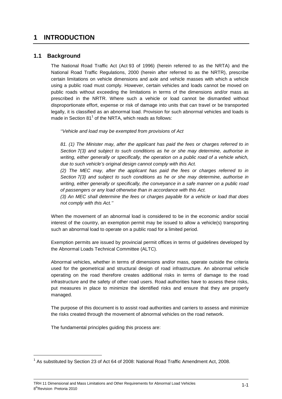# **1 INTRODUCTION**

### **1.1 Background**

The National Road Traffic Act (Act 93 of 1996) (herein referred to as the NRTA) and the National Road Traffic Regulations, 2000 (herein after referred to as the NRTR), prescribe certain limitations on vehicle dimensions and axle and vehicle masses with which a vehicle using a public road must comply. However, certain vehicles and loads cannot be moved on public roads without exceeding the limitations in terms of the dimensions and/or mass as prescribed in the NRTR. Where such a vehicle or load cannot be dismantled without disproportionate effort, expense or risk of damage into units that can travel or be transported legally, it is classified as an abnormal load. Provision for such abnormal vehicles and loads is made in Section 81 $<sup>1</sup>$  of the NRTA, which reads as follows:</sup>

''Vehicle and load may be exempted from provisions of Act

81. (1) The Minister may, after the applicant has paid the fees or charges referred to in Section 7(3) and subject to such conditions as he or she may determine, authorise in writing, either generally or specifically, the operation on a public road of a vehicle which, due to such vehicle's original design cannot comply with this Act.

(2) The MEC may, after the applicant has paid the fees or charges referred to in Section 7(3) and subject to such conditions as he or she may determine, authorise in writing, either generally or specifically, the conveyance in a safe manner on a public road of passengers or any load otherwise than in accordance with this Act.

(3) An MEC shall determine the fees or charges payable for a vehicle or load that does not comply with this Act.''

When the movement of an abnormal load is considered to be in the economic and/or social interest of the country, an exemption permit may be issued to allow a vehicle(s) transporting such an abnormal load to operate on a public road for a limited period.

Exemption permits are issued by provincial permit offices in terms of guidelines developed by the Abnormal Loads Technical Committee (ALTC).

Abnormal vehicles, whether in terms of dimensions and/or mass, operate outside the criteria used for the geometrical and structural design of road infrastructure. An abnormal vehicle operating on the road therefore creates additional risks in terms of damage to the road infrastructure and the safety of other road users. Road authorities have to assess these risks, put measures in place to minimize the identified risks and ensure that they are properly managed.

The purpose of this document is to assist road authorities and carriers to assess and minimize the risks created through the movement of abnormal vehicles on the road network.

The fundamental principles guiding this process are:

 $\overline{a}$ 

 $1$  As substituted by Section 23 of Act 64 of 2008: National Road Traffic Amendment Act, 2008.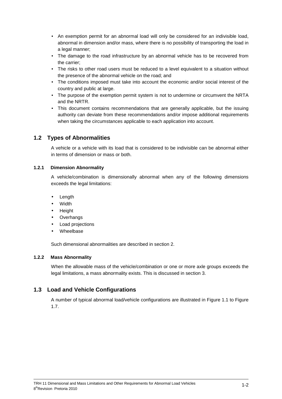- An exemption permit for an abnormal load will only be considered for an indivisible load, abnormal in dimension and/or mass, where there is no possibility of transporting the load in a legal manner;
- The damage to the road infrastructure by an abnormal vehicle has to be recovered from the carrier;
- The risks to other road users must be reduced to a level equivalent to a situation without the presence of the abnormal vehicle on the road; and
- The conditions imposed must take into account the economic and/or social interest of the country and public at large.
- The purpose of the exemption permit system is not to undermine or circumvent the NRTA and the NRTR.
- This document contains recommendations that are generally applicable, but the issuing authority can deviate from these recommendations and/or impose additional requirements when taking the circumstances applicable to each application into account.

# **1.2 Types of Abnormalities**

A vehicle or a vehicle with its load that is considered to be indivisible can be abnormal either in terms of dimension or mass or both.

#### **1.2.1 Dimension Abnormality**

A vehicle/combination is dimensionally abnormal when any of the following dimensions exceeds the legal limitations:

- **Length**
- **Width**
- **Height**
- **Overhangs**
- Load projections
- **Wheelbase**

Such dimensional abnormalities are described in section 2.

#### **1.2.2 Mass Abnormality**

When the allowable mass of the vehicle/combination or one or more axle groups exceeds the legal limitations, a mass abnormality exists. This is discussed in section 3.

# **1.3 Load and Vehicle Configurations**

A number of typical abnormal load/vehicle configurations are illustrated in Figure 1.1 to Figure 1.7.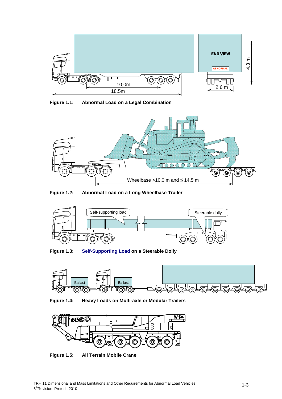

**Figure 1.1: Abnormal Load on a Legal Combination** 



**Figure 1.2: Abnormal Load on a Long Wheelbase Trailer** 



**Figure 1.3: Self-Supporting Load on a Steerable Dolly** 



**Figure 1.4: Heavy Loads on Multi-axle or Modular Trailers** 



**Figure 1.5: All Terrain Mobile Crane**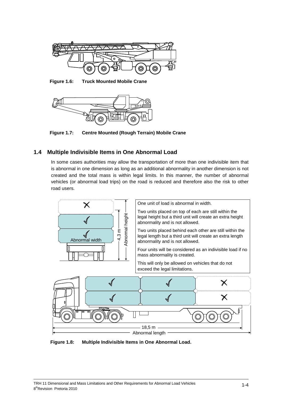

**Figure 1.6: Truck Mounted Mobile Crane** 



**Figure 1.7: Centre Mounted (Rough Terrain) Mobile Crane** 

# **1.4 Multiple Indivisible Items in One Abnormal Load**

In some cases authorities may allow the transportation of more than one indivisible item that is abnormal in one dimension as long as an additional abnormality in another dimension is not created and the total mass is within legal limits. In this manner, the number of abnormal vehicles (or abnormal load trips) on the road is reduced and therefore also the risk to other road users.



**Figure 1.8: Multiple Indivisible Items in One Abnormal Load.**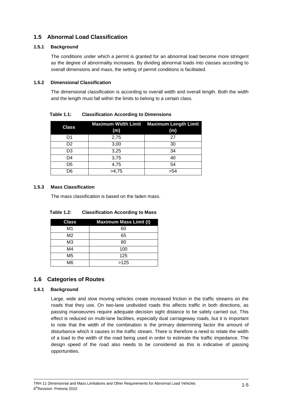# **1.5 Abnormal Load Classification**

#### **1.5.1 Background**

The conditions under which a permit is granted for an abnormal load become more stringent as the degree of abnormality increases. By dividing abnormal loads into classes according to overall dimensions and mass, the setting of permit conditions is facilitated.

#### **1.5.2 Dimensional Classification**

The dimensional classification is according to overall width and overall length. Both the width and the length must fall within the limits to belong to a certain class.

| <b>Class</b>   | (m)   | <b>Maximum Width Limit Maximum Length Limit</b><br>(m) |
|----------------|-------|--------------------------------------------------------|
| D1             | 2,75  | 27                                                     |
| D <sub>2</sub> | 3,00  | 30                                                     |
| D3             | 3,25  | 34                                                     |
| D4             | 3,75  | 40                                                     |
| D5             | 4,75  | 54                                                     |
| D6             | >4.75 | >54                                                    |

**Table 1.1: Classification According to Dimensions** 

#### **1.5.3 Mass Classification**

The mass classification is based on the laden mass.

| <b>Table 1.2:</b> | <b>Classification According to Mass</b> |
|-------------------|-----------------------------------------|
|-------------------|-----------------------------------------|

| <b>Class</b>   | <b>Maximum Mass Limit (t)</b> |
|----------------|-------------------------------|
| M <sub>1</sub> | 60                            |
| M <sub>2</sub> | 65                            |
| M <sub>3</sub> | 80                            |
| M4             | 100                           |
| M <sub>5</sub> | 125                           |
| M <sub>6</sub> | >125                          |

# **1.6 Categories of Routes**

#### **1.6.1 Background**

Large, wide and slow moving vehicles create increased friction in the traffic streams on the roads that they use. On two-lane undivided roads this affects traffic in both directions, as passing manoeuvres require adequate decision sight distance to be safely carried out. This effect is reduced on multi-lane facilities, especially dual carriageway roads, but it is important to note that the width of the combination is the primary determining factor the amount of disturbance which it causes in the traffic stream. There is therefore a need to relate the width of a load to the width of the road being used in order to estimate the traffic impedance. The design speed of the road also needs to be considered as this is indicative of passing opportunities.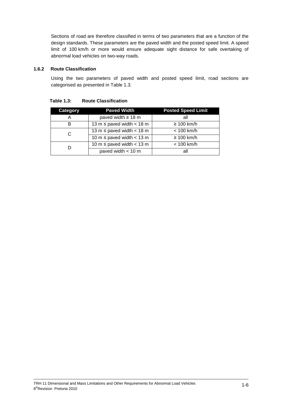Sections of road are therefore classified in terms of two parameters that are a function of the design standards. These parameters are the paved width and the posted speed limit. A speed limit of 100 km/h or more would ensure adequate sight distance for safe overtaking of abnormal load vehicles on two-way roads.

#### **1.6.2 Route Classification**

Using the two parameters of paved width and posted speed limit, road sections are categorised as presented in Table 1.3.

| <b>Category</b> | <b>Paved Width</b>               | <b>Posted Speed Limit</b> |
|-----------------|----------------------------------|---------------------------|
| Α               | paved width $\geq 18$ m          | all                       |
| в               | 13 m $\leq$ paved width $<$ 18 m | $\geq 100$ km/h           |
| С               | 13 m $\leq$ paved width $<$ 18 m | $< 100$ km/h              |
|                 | 10 m $\leq$ paved width $<$ 13 m | $\geq 100$ km/h           |
| D               | 10 m $\leq$ paved width $<$ 13 m | $< 100$ km/h              |
|                 | paved width $<$ 10 m             | all                       |

**Table 1.3: Route Classification**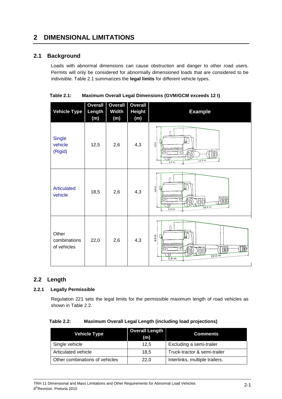# **2 DIMENSIONAL LIMITATIONS**

# **2.1 Background**

Loads with abnormal dimensions can cause obstruction and danger to other road users. Permits will only be considered for abnormally dimensioned loads that are considered to be indivisible. Table 2.1 summarizes the **legal limits** for different vehicle types.

| Table 2.1: | <b>Maximum Overall Legal Dimensions (GVM/GCM exceeds 12 t)</b> |  |
|------------|----------------------------------------------------------------|--|
|------------|----------------------------------------------------------------|--|

| <b>Vehicle Type</b>                                                                                                | <b>Overall</b><br>Length<br>(m) | <b>Overall</b><br><b>Width</b><br>(m) | <b>Overall</b><br><b>Height</b><br>(m) |                                | <b>Example</b>                                                 |
|--------------------------------------------------------------------------------------------------------------------|---------------------------------|---------------------------------------|----------------------------------------|--------------------------------|----------------------------------------------------------------|
| <b>Single</b><br>vehicle<br>(Rigid)                                                                                | 12,5                            | 2,6                                   | 4,3                                    | 4,3 m                          | ⊯<br>(0)(0)<br>12,5 m<br>$2,6$ m                               |
| <b>Articulated</b><br>vehicle                                                                                      | 18,5                            | 2,6                                   | 4,3                                    | 4,3m                           | I£<br>18,5 m<br>$2,6$ m                                        |
| Other<br>combinations<br>of vehicles                                                                               | 22,0                            | 2,6                                   | 4,3                                    | 4.3 m                          | $\frac{d}{dt}$<br>$\pi$<br>00<br>$22,0 \, \text{m}$<br>$2,6$ m |
| ength<br><b>Legally Permissible</b>                                                                                |                                 |                                       |                                        |                                |                                                                |
| Regulation 221 sets the legal limits for the permissible maximum length of road vehicles as<br>shown in Table 2.2. |                                 |                                       |                                        |                                |                                                                |
| Maximum Overall Legal Length (including load projections)<br>able 2.2:                                             |                                 |                                       |                                        |                                |                                                                |
| <b>Overall Length</b><br><b>Vehicle Type</b><br><b>Comments</b><br>(m)                                             |                                 |                                       |                                        |                                |                                                                |
| Single vehicle                                                                                                     |                                 |                                       | 12,5                                   |                                | Excluding a semi-trailer                                       |
| Articulated vehicle                                                                                                |                                 |                                       | 18,5                                   |                                | Truck-tractor & semi-trailer                                   |
| Other combinations of vehicles                                                                                     |                                 | 22,0                                  |                                        | Interlinks, multiple trailers. |                                                                |

# **2.2 Length**

#### **2.2.1 Legally Permissible**

| <b>Table 2.2:</b> | <b>Maximum Overall Legal Length (including load projections)</b> |
|-------------------|------------------------------------------------------------------|
|-------------------|------------------------------------------------------------------|

| <b>Vehicle Type</b>            | <b>Overall Length</b><br>(m) | <b>Comments</b>                |
|--------------------------------|------------------------------|--------------------------------|
| Single vehicle                 | 12.5                         | Excluding a semi-trailer       |
| Articulated vehicle            | 18,5                         | Truck-tractor & semi-trailer   |
| Other combinations of vehicles | 22,0                         | Interlinks, multiple trailers. |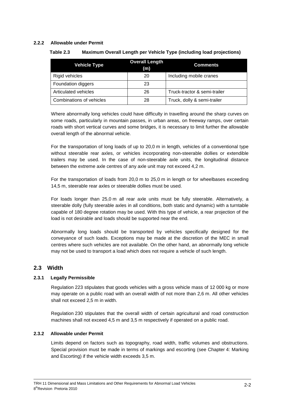#### **2.2.2 Allowable under Permit**

| Table 2.3 |  | <b>Maximum Overall Length per Vehicle Type (including load projections)</b> |
|-----------|--|-----------------------------------------------------------------------------|
|-----------|--|-----------------------------------------------------------------------------|

| <b>Vehicle Type</b>      | <b>Overall Length</b><br>(m) | <b>Comments</b>              |
|--------------------------|------------------------------|------------------------------|
| Rigid vehicles           | 20                           | Including mobile cranes      |
| Foundation diggers       | 23                           |                              |
| Articulated vehicles     | 26                           | Truck-tractor & semi-trailer |
| Combinations of vehicles | 28                           | Truck, dolly & semi-trailer  |

Where abnormally long vehicles could have difficulty in travelling around the sharp curves on some roads, particularly in mountain passes, in urban areas, on freeway ramps, over certain roads with short vertical curves and some bridges, it is necessary to limit further the allowable overall length of the abnormal vehicle.

For the transportation of long loads of up to 20,0 m in length, vehicles of a conventional type without steerable rear axles, or vehicles incorporating non-steerable dollies or extendible trailers may be used. In the case of non-steerable axle units, the longitudinal distance between the extreme axle centres of any axle unit may not exceed 4,2 m.

For the transportation of loads from 20,0 m to 25,0 m in length or for wheelbases exceeding 14,5 m, steerable rear axles or steerable dollies must be used.

For loads longer than 25,0 m all rear axle units must be fully steerable. Alternatively, a steerable dolly (fully steerable axles in all conditions, both static and dynamic) with a turntable capable of 180 degree rotation may be used. With this type of vehicle, a rear projection of the load is not desirable and loads should be supported near the end.

Abnormally long loads should be transported by vehicles specifically designed for the conveyance of such loads. Exceptions may be made at the discretion of the MEC in small centres where such vehicles are not available. On the other hand, an abnormally long vehicle may not be used to transport a load which does not require a vehicle of such length.

# **2.3 Width**

#### **2.3.1 Legally Permissible**

Regulation 223 stipulates that goods vehicles with a gross vehicle mass of 12 000 kg or more may operate on a public road with an overall width of not more than 2,6 m. All other vehicles shall not exceed 2,5 m in width.

Regulation 230 stipulates that the overall width of certain agricultural and road construction machines shall not exceed 4,5 m and 3,5 m respectively if operated on a public road.

#### **2.3.2 Allowable under Permit**

Limits depend on factors such as topography, road width, traffic volumes and obstructions. Special provision must be made in terms of markings and escorting (see Chapter 4: Marking and Escorting) if the vehicle width exceeds 3,5 m.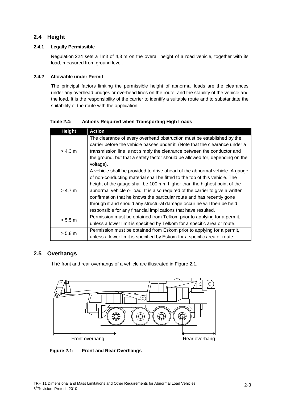# **2.4 Height**

# **2.4.1 Legally Permissible**

Regulation 224 sets a limit of 4,3 m on the overall height of a road vehicle, together with its load, measured from ground level.

# **2.4.2 Allowable under Permit**

The principal factors limiting the permissible height of abnormal loads are the clearances under any overhead bridges or overhead lines on the route, and the stability of the vehicle and the load. It is the responsibility of the carrier to identify a suitable route and to substantiate the suitability of the route with the application.

**Height Action**  $> 4.3 m$ The clearance of every overhead obstruction must be established by the carrier before the vehicle passes under it. (Note that the clearance under a transmission line is not simply the clearance between the conductor and the ground, but that a safety factor should be allowed for, depending on the voltage).  $> 4.7 m$ A vehicle shall be provided to drive ahead of the abnormal vehicle. A gauge of non-conducting material shall be fitted to the top of this vehicle. The height of the gauge shall be 100 mm higher than the highest point of the abnormal vehicle or load. It is also required of the carrier to give a written confirmation that he knows the particular route and has recently gone through it and should any structural damage occur he will then be held responsible for any financial implications that have resulted. > 5,5 m Permission must be obtained from Telkom prior to applying for a permit, unless a lower limit is specified by Telkom for a specific area or route. > 5,8 m Permission must be obtained from Eskom prior to applying for a permit, unless a lower limit is specified by Eskom for a specific area or route.

**Table 2.4: Actions Required when Transporting High Loads** 

# **2.5 Overhangs**

The front and rear overhangs of a vehicle are illustrated in Figure 2.1.



**Figure 2.1: Front and Rear Overhangs**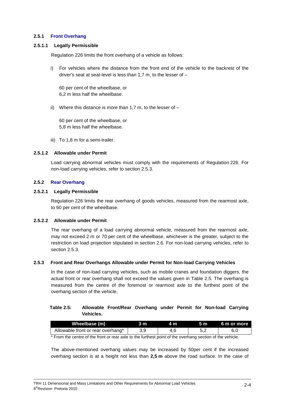#### **2.5.1 Front Overhang**

#### **2.5.1.1 Legally Permissible**

Regulation 226 limits the front overhang of a vehicle as follows:

i) For vehicles where the distance from the front end of the vehicle to the backrest of the driver's seat at seat-level is less than 1,7 m, to the lesser of –

60 per cent of the wheelbase, or 6,2 m less half the wheelbase.

ii) Where this distance is more than 1,7 m, to the lesser of  $-$ 

60 per cent of the wheelbase, or 5,8 m less half the wheelbase.

iii) To 1,8 m for a semi-trailer.

#### **2.5.1.2 Allowable under Permit**

Load carrying abnormal vehicles must comply with the requirements of Regulation 226. For non-load carrying vehicles, refer to section 2.5.3.

#### **2.5.2 Rear Overhang**

#### **2.5.2.1 Legally Permissible**

Regulation 226 limits the rear overhang of goods vehicles, measured from the rearmost axle, to 60 per cent of the wheelbase.

#### **2.5.2.2 Allowable under Permit**

The rear overhang of a load carrying abnormal vehicle, measured from the rearmost axle, may not exceed 2 m or 70 per cent of the wheelbase, whichever is the greater, subject to the restriction on load projection stipulated in section 2.6. For non-load carrying vehicles, refer to section 2.5.3.

#### **2.5.3 Front and Rear Overhangs Allowable under Permit for Non-load Carrying Vehicles**

In the case of non-load carrying vehicles, such as mobile cranes and foundation diggers, the actual front or rear overhang shall not exceed the values given in Table 2.5. The overhang is measured from the centre of the foremost or rearmost axle to the furthest point of the overhang section of the vehicle.

#### **Table 2.5: Allowable Front/Rear Overhang under Permit for Non-load Carrying Vehicles.**

| Wheelbase (m)                     | 3 m | 4 m | .5 m | 6 m or more |
|-----------------------------------|-----|-----|------|-------------|
| Allowable front or rear overhang* |     |     |      |             |
| $\sim$ $-$                        |     |     |      |             |

\* From the centre of the front or rear axle to the furthest point of the overhang section of the vehicle.

The above-mentioned overhang values may be increased by 50per cent if the increased overhang section is at a height not less than **2,5 m** above the road surface. In the case of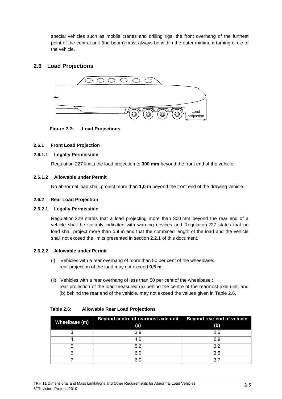special vehicles such as mobile cranes and drilling rigs, the front overhang of the furthest point of the central unit (the boom) must always be within the outer minimum turning circle of the vehicle.

# **2.6 Load Projections**



**Figure 2.2: Load Projections** 

#### **2.6.1 Front Load Projection**

#### **2.6.1.1 Legally Permissible**

Regulation 227 limits the load projection to **300 mm** beyond the front end of the vehicle.

#### **2.6.1.2 Allowable under Permit**

No abnormal load shall project more than **1,0 m** beyond the front end of the drawing vehicle.

#### **2.6.2 Rear Load Projection**

#### **2.6.2.1 Legally Permissible**

Regulation 229 states that a load projecting more than 300 mm beyond the rear end of a vehicle shall be suitably indicated with warning devices and Regulation 227 states that no load shall project more than **1,8 m** and that the combined length of the load and the vehicle shall not exceed the limits presented in section 2.2.1 of this document.

#### **2.6.2.2 Allowable under Permit**

- (i) Vehicles with a rear overhang of more than 50 per cent of the wheelbase: rear projection of the load may not exceed **0,5 m**.
- (ii) Vehicles with a rear overhang of less than 50 per cent of the wheelbase : rear projection of the load measured (a) behind the centre of the rearmost axle unit, and (b) behind the rear end of the vehicle, may not exceed the values given in Table 2.6.

| Wheelbase (m) | Beyond centre of rearmost axle unit<br>(a) | Beyond rear end of vehicle<br>(b) |
|---------------|--------------------------------------------|-----------------------------------|
|               | 3,9                                        | 2,6                               |
|               | 4,6                                        | 2,9                               |
|               | 5,2                                        | 3,2                               |
|               | 6,0                                        | 3,5                               |
|               | 6.0                                        |                                   |

**Table 2.6: Allowable Rear Load Projections**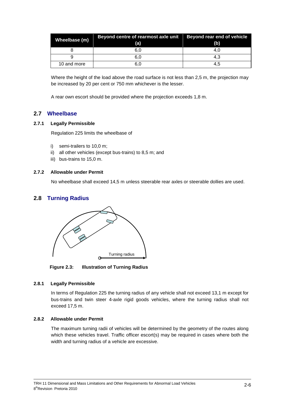| Wheelbase (m) | Beyond centre of rearmost axle unit<br>(a) | Beyond rear end of vehicle<br>(b) |
|---------------|--------------------------------------------|-----------------------------------|
|               | 6,0                                        | 4.U                               |
|               | 6.0                                        | 4,3                               |
| 10 and more   | 6.0                                        | 4,5                               |

Where the height of the load above the road surface is not less than 2,5 m, the projection may be increased by 20 per cent or 750 mm whichever is the lesser.

A rear own escort should be provided where the projection exceeds 1,8 m.

### **2.7 Wheelbase**

#### **2.7.1 Legally Permissible**

Regulation 225 limits the wheelbase of

- i) semi-trailers to 10,0 m;
- ii) all other vehicles (except bus-trains) to 8,5 m; and
- iii) bus-trains to 15,0 m.

#### **2.7.2 Allowable under Permit**

No wheelbase shall exceed 14,5 m unless steerable rear axles or steerable dollies are used.

#### **2.8 Turning Radius**



**Figure 2.3: Illustration of Turning Radius** 

#### **2.8.1 Legally Permissible**

In terms of Regulation 225 the turning radius of any vehicle shall not exceed 13,1 m except for bus-trains and twin steer 4-axle rigid goods vehicles, where the turning radius shall not exceed 17,5 m.

#### **2.8.2 Allowable under Permit**

The maximum turning radii of vehicles will be determined by the geometry of the routes along which these vehicles travel. Traffic officer escort(s) may be required in cases where both the width and turning radius of a vehicle are excessive.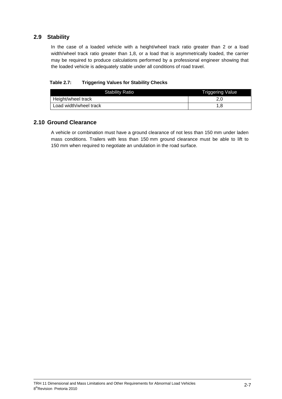# **2.9 Stability**

In the case of a loaded vehicle with a height/wheel track ratio greater than 2 or a load width/wheel track ratio greater than 1,8, or a load that is asymmetrically loaded, the carrier may be required to produce calculations performed by a professional engineer showing that the loaded vehicle is adequately stable under all conditions of road travel.

#### **Table 2.7: Triggering Values for Stability Checks**

| <b>Stability Ratio</b> | <b>Triggering Value</b> |
|------------------------|-------------------------|
| Height/wheel track     |                         |
| Load width/wheel track |                         |

# **2.10 Ground Clearance**

A vehicle or combination must have a ground clearance of not less than 150 mm under laden mass conditions. Trailers with less than 150 mm ground clearance must be able to lift to 150 mm when required to negotiate an undulation in the road surface.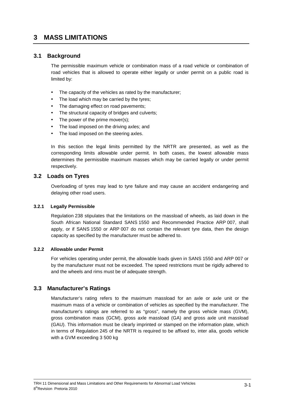# **3 MASS LIMITATIONS**

### **3.1 Background**

The permissible maximum vehicle or combination mass of a road vehicle or combination of road vehicles that is allowed to operate either legally or under permit on a public road is limited by:

- The capacity of the vehicles as rated by the manufacturer;
- The load which may be carried by the tyres;
- The damaging effect on road pavements;
- The structural capacity of bridges and culverts:
- The power of the prime mover(s);
- The load imposed on the driving axles; and
- The load imposed on the steering axles.

In this section the legal limits permitted by the NRTR are presented, as well as the corresponding limits allowable under permit. In both cases, the lowest allowable mass determines the permissible maximum masses which may be carried legally or under permit respectively.

#### **3.2 Loads on Tyres**

Overloading of tyres may lead to tyre failure and may cause an accident endangering and delaying other road users.

#### **3.2.1 Legally Permissible**

Regulation 238 stipulates that the limitations on the massload of wheels, as laid down in the South African National Standard SANS 1550 and Recommended Practice ARP 007, shall apply, or if SANS 1550 or ARP 007 do not contain the relevant tyre data, then the design capacity as specified by the manufacturer must be adhered to.

#### **3.2.2 Allowable under Permit**

For vehicles operating under permit, the allowable loads given in SANS 1550 and ARP 007 or by the manufacturer must not be exceeded. The speed restrictions must be rigidly adhered to and the wheels and rims must be of adequate strength.

# **3.3 Manufacturer's Ratings**

Manufacturer's rating refers to the maximum massload for an axle or axle unit or the maximum mass of a vehicle or combination of vehicles as specified by the manufacturer. The manufacturer's ratings are referred to as "gross", namely the gross vehicle mass (GVM), gross combination mass (GCM), gross axle massload (GA) and gross axle unit massload (GAU). This information must be clearly imprinted or stamped on the information plate, which in terms of Regulation 245 of the NRTR is required to be affixed to, inter alia, goods vehicle with a GVM exceeding 3 500 kg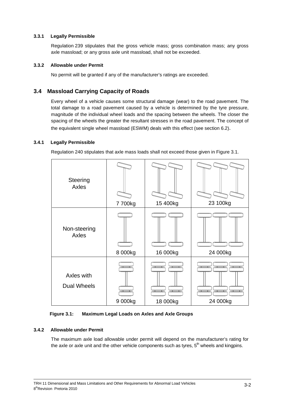#### **3.3.1 Legally Permissible**

Regulation 239 stipulates that the gross vehicle mass; gross combination mass; any gross axle massload; or any gross axle unit massload, shall not be exceeded.

#### **3.3.2 Allowable under Permit**

No permit will be granted if any of the manufacturer's ratings are exceeded.

# **3.4 Massload Carrying Capacity of Roads**

Every wheel of a vehicle causes some structural damage (wear) to the road pavement. The total damage to a road pavement caused by a vehicle is determined by the tyre pressure, magnitude of the individual wheel loads and the spacing between the wheels. The closer the spacing of the wheels the greater the resultant stresses in the road pavement. The concept of the equivalent single wheel massload (ESWM) deals with this effect (see section 6.2).

#### **3.4.1 Legally Permissible**

Regulation 240 stipulates that axle mass loads shall not exceed those given in Figure 3.1.



#### **Figure 3.1: Maximum Legal Loads on Axles and Axle Groups**

#### **3.4.2 Allowable under Permit**

The maximum axle load allowable under permit will depend on the manufacturer's rating for the axle or axle unit and the other vehicle components such as tyres,  $5<sup>th</sup>$  wheels and kingpins.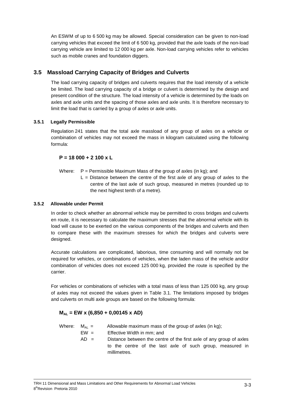An ESWM of up to 6 500 kg may be allowed. Special consideration can be given to non-load carrying vehicles that exceed the limit of 6 500 kg, provided that the axle loads of the non-load carrying vehicle are limited to 12 000 kg per axle. Non-load carrying vehicles refer to vehicles such as mobile cranes and foundation diggers.

# **3.5 Massload Carrying Capacity of Bridges and Culverts**

The load carrying capacity of bridges and culverts requires that the load intensity of a vehicle be limited. The load carrying capacity of a bridge or culvert is determined by the design and present condition of the structure. The load intensity of a vehicle is determined by the loads on axles and axle units and the spacing of those axles and axle units. It is therefore necessary to limit the load that is carried by a group of axles or axle units.

#### **3.5.1 Legally Permissible**

Regulation 241 states that the total axle massload of any group of axles on a vehicle or combination of vehicles may not exceed the mass in kilogram calculated using the following formula:

### **P = 18 000 + 2 100 x L**

- Where:  $P =$  Permissible Maximum Mass of the group of axles (in kg); and
	- $L =$  Distance between the centre of the first axle of any group of axles to the centre of the last axle of such group, measured in metres (rounded up to the next highest tenth of a metre).

#### **3.5.2 Allowable under Permit**

In order to check whether an abnormal vehicle may be permitted to cross bridges and culverts en route, it is necessary to calculate the maximum stresses that the abnormal vehicle with its load will cause to be exerted on the various components of the bridges and culverts and then to compare these with the maximum stresses for which the bridges and culverts were designed.

Accurate calculations are complicated, laborious, time consuming and will normally not be required for vehicles, or combinations of vehicles, when the laden mass of the vehicle and/or combination of vehicles does not exceed 125 000 kg, provided the route is specified by the carrier.

For vehicles or combinations of vehicles with a total mass of less than 125 000 kg, any group of axles may not exceed the values given in Table 3.1. The limitations imposed by bridges and culverts on multi axle groups are based on the following formula:

# **MAL = EW x (6,850 + 0,00145 x AD)**

Where:  $M_{AL} =$  Allowable maximum mass of the group of axles (in kg);

- EW = Effective Width in mm; and
	- $AD =$  Distance between the centre of the first axle of any group of axles to the centre of the last axle of such group, measured in millimetres.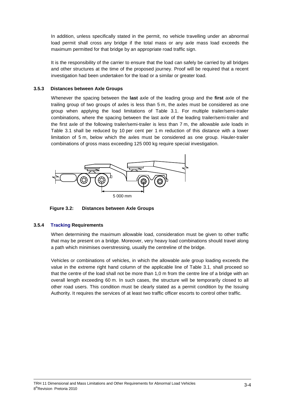In addition, unless specifically stated in the permit, no vehicle travelling under an abnormal load permit shall cross any bridge if the total mass or any axle mass load exceeds the maximum permitted for that bridge by an appropriate road traffic sign.

It is the responsibility of the carrier to ensure that the load can safely be carried by all bridges and other structures at the time of the proposed journey. Proof will be required that a recent investigation had been undertaken for the load or a similar or greater load.

#### **3.5.3 Distances between Axle Groups**

Whenever the spacing between the **last** axle of the leading group and the **first** axle of the trailing group of two groups of axles is less than 5 m, the axles must be considered as one group when applying the load limitations of Table 3.1. For multiple trailer/semi-trailer combinations, where the spacing between the last axle of the leading trailer/semi-trailer and the first axle of the following trailer/semi-trailer is less than 7 m, the allowable axle loads in Table 3.1 shall be reduced by 10 per cent per 1 m reduction of this distance with a lower limitation of 5 m, below which the axles must be considered as one group. Hauler-trailer combinations of gross mass exceeding 125 000 kg require special investigation.



**Figure 3.2: Distances between Axle Groups** 

#### **3.5.4 Tracking Requirements**

When determining the maximum allowable load, consideration must be given to other traffic that may be present on a bridge. Moreover, very heavy load combinations should travel along a path which minimises overstressing, usually the centreline of the bridge.

Vehicles or combinations of vehicles, in which the allowable axle group loading exceeds the value in the extreme right hand column of the applicable line of Table 3.1, shall proceed so that the centre of the load shall not be more than 1,0 m from the centre line of a bridge with an overall length exceeding 60 m. In such cases, the structure will be temporarily closed to all other road users. This condition must be clearly stated as a permit condition by the Issuing Authority. It requires the services of at least two traffic officer escorts to control other traffic.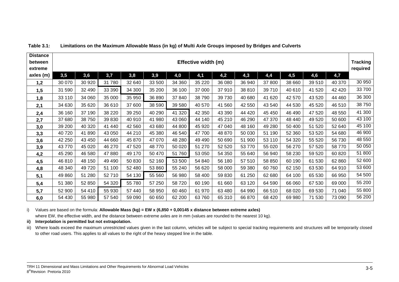| <b>Distance</b><br>between<br>extreme | Effective width (m) |         |          |         |        |         |         |        |         | <b>Tracking</b><br>required |         |         |         |        |
|---------------------------------------|---------------------|---------|----------|---------|--------|---------|---------|--------|---------|-----------------------------|---------|---------|---------|--------|
| axles (m)                             | 3,5                 | 3,6     | 3,7      | 3,8     | 3,9    | 4,0     | 4,1     | 4,2    | 4,3     | 4,4                         | 4,5     | 4,6     | 4,7     |        |
| 1,2                                   | 30 070              | 30 920  | 31 780   | 32 640  | 33 500 | 34 360  | 35 2 20 | 36 080 | 36 940  | 37 800                      | 38 660  | 39 510  | 40 370  | 30 950 |
| 1,5                                   | 31 590              | 32 490  | 33 390   | 34 300  | 35 200 | 36 100  | 37 000  | 37910  | 38 810  | 39710                       | 40 610  | 41 520  | 42 4 20 | 33700  |
| 1,8                                   | 33 110              | 34 060  | 35 000   | 35 950  | 36 890 | 37 840  | 38 790  | 39 730 | 40 680  | 41 620                      | 42 570  | 43 5 20 | 44 460  | 36 300 |
| 2,1                                   | 34 630              | 35 620  | 36 610   | 37 600  | 38 590 | 39 580  | 40 570  | 41 560 | 42 550  | 43 540                      | 44 530  | 45 5 20 | 46 510  | 38750  |
| 2,4                                   | 36 160              | 37 190  | 38 2 20  | 39 250  | 40 290 | 41 3 20 | 42 350  | 43 390 | 44 4 20 | 45 450                      | 46 490  | 47 520  | 48 550  | 41 300 |
| 2,7                                   | 37 680              | 38 750  | 39 830   | 40 910  | 41 980 | 43 060  | 44 140  | 45 210 | 46 290  | 47 370                      | 48 440  | 49 5 20 | 50 600  | 43 100 |
| 3,0                                   | 39 200              | 40 320  | 41 440   | 42 5 60 | 43 680 | 44 800  | 45 920  | 47 040 | 48 160  | 49 280                      | 50 400  | 51 520  | 52 640  | 45 100 |
| 3,3                                   | 40 720              | 41890   | 43 050   | 44 210  | 45 380 | 46 540  | 47 700  | 48 870 | 50 030  | 51 190                      | 52 360  | 53 520  | 54 680  | 46 900 |
| 3,6                                   | 42 250              | 43 450  | 44 660   | 45 870  | 47 070 | 48 280  | 49 490  | 50 690 | 51 900  | 53 110                      | 54 320  | 55 520  | 56 730  | 48 550 |
| 3,9                                   | 43770               | 45 0 20 | 46 270   | 47 520  | 48770  | 50 0 20 | 51 270  | 52 520 | 53 770  | 55 0 20                     | 56 270  | 57 520  | 58770   | 50 050 |
| 4,2                                   | 45 290              | 46 580  | 47 880   | 49 170  | 50 470 | 51 760  | 53 050  | 54 350 | 55 640  | 56 940                      | 58 230  | 59 520  | 60 820  | 51 800 |
| 4,5                                   | 46 810              | 48 150  | 49 4 9 0 | 50 830  | 52 160 | 53 500  | 54 840  | 56 180 | 57 510  | 58 850                      | 60 190  | 61 530  | 62 860  | 52 600 |
| 4,8                                   | 48 340              | 49720   | 51 100   | 52 480  | 53 860 | 55 240  | 56 620  | 58 000 | 59 380  | 60760                       | 62 150  | 63 530  | 64 910  | 53 600 |
| 5,1                                   | 49 860              | 51 280  | 52710    | 54 130  | 55 560 | 56 980  | 58 400  | 59 830 | 61 250  | 62 680                      | 64 100  | 65 530  | 66 950  | 54 500 |
| 5,4                                   | 51 380              | 52 850  | 54 320   | 55 780  | 57 250 | 58 720  | 60 190  | 61 660 | 63 1 20 | 64 590                      | 66 060  | 67 530  | 69 000  | 55 200 |
| 5,7                                   | 52 900              | 54 410  | 55 930   | 57 440  | 58 950 | 60 460  | 61 970  | 63 480 | 64 990  | 66 510                      | 68 0 20 | 69 530  | 71 040  | 55 800 |
| 6,0                                   | 54 430              | 55 980  | 57 540   | 59 090  | 60 650 | 62 200  | 63760   | 65 310 | 66 870  | 68 4 20                     | 69 980  | 71 530  | 73 090  | 56 200 |

#### **Table 3.1: Limitations on the Maximum Allowable Mass (in kg) of Multi Axle Groups imposed by Bridges and Culverts**

i) Values are based on the formula: **Allowable Mass (kg) = EW x (6,850 + 0,00145 x distance between extreme axles)**where EW, the effective width, and the distance between extreme axles are in mm (values are rounded to the nearest 10 kg).

#### **ii) Interpolation is permitted but not extrapolation.**

iii) Where loads exceed the maximum unrestricted values given in the last column, vehicles will be subject to special tracking requirements and structures will be temporarily closed to other road users. This applies to all values to the right of the heavy stepped line in the table.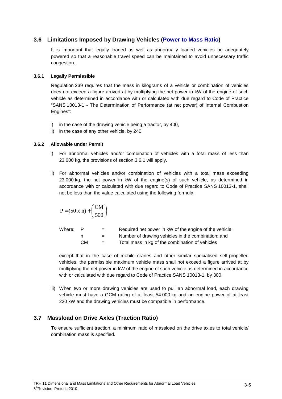# **3.6 Limitations Imposed by Drawing Vehicles (Power to Mass Ratio)**

It is important that legally loaded as well as abnormally loaded vehicles be adequately powered so that a reasonable travel speed can be maintained to avoid unnecessary traffic congestion.

#### **3.6.1 Legally Permissible**

Regulation 239 requires that the mass in kilograms of a vehicle or combination of vehicles does not exceed a figure arrived at by multiplying the net power in kW of the engine of such vehicle as determined in accordance with or calculated with due regard to Code of Practice "SANS 10013-1 - The Determination of Performance (at net power) of Internal Combustion Engines":

- i) in the case of the drawing vehicle being a tractor, by 400,
- ii) in the case of any other vehicle, by 240.

#### **3.6.2 Allowable under Permit**

- i) For abnormal vehicles and/or combination of vehicles with a total mass of less than 23 000 kg, the provisions of section 3.6.1 will apply.
- ii) For abnormal vehicles and/or combination of vehicles with a total mass exceeding 23 000 kg, the net power in kW of the engine(s) of such vehicle, as determined in accordance with or calculated with due regard to Code of Practice SANS 10013-1, shall not be less than the value calculated using the following formula:

$$
P = (50 \times n) + \left(\frac{CM}{500}\right)
$$

| Where: | P  | $=$ | Required net power in kW of the engine of the vehicle; |
|--------|----|-----|--------------------------------------------------------|
|        |    | $=$ | Number of drawing vehicles in the combination; and     |
|        | CМ | $=$ | Total mass in kg of the combination of vehicles        |

except that in the case of mobile cranes and other similar specialised self-propelled vehicles, the permissible maximum vehicle mass shall not exceed a figure arrived at by multiplying the net power in kW of the engine of such vehicle as determined in accordance with or calculated with due regard to Code of Practice SANS 10013-1, by 300.

iii) When two or more drawing vehicles are used to pull an abnormal load, each drawing vehicle must have a GCM rating of at least 54 000 kg and an engine power of at least 220 kW and the drawing vehicles must be compatible in performance.

# **3.7 Massload on Drive Axles (Traction Ratio)**

To ensure sufficient traction, a minimum ratio of massload on the drive axles to total vehicle/ combination mass is specified.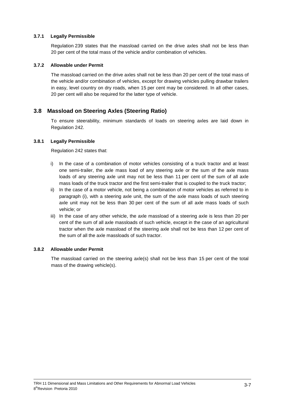#### **3.7.1 Legally Permissible**

Regulation 239 states that the massload carried on the drive axles shall not be less than 20 per cent of the total mass of the vehicle and/or combination of vehicles.

#### **3.7.2 Allowable under Permit**

The massload carried on the drive axles shall not be less than 20 per cent of the total mass of the vehicle and/or combination of vehicles, except for drawing vehicles pulling drawbar trailers in easy, level country on dry roads, when 15 per cent may be considered. In all other cases, 20 per cent will also be required for the latter type of vehicle.

### **3.8 Massload on Steering Axles (Steering Ratio)**

To ensure steerability, minimum standards of loads on steering axles are laid down in Regulation 242.

#### **3.8.1 Legally Permissible**

Regulation 242 states that:

- i) In the case of a combination of motor vehicles consisting of a truck tractor and at least one semi-trailer, the axle mass load of any steering axle or the sum of the axle mass loads of any steering axle unit may not be less than 11 per cent of the sum of all axle mass loads of the truck tractor and the first semi-trailer that is coupled to the truck tractor;
- ii) In the case of a motor vehicle, not being a combination of motor vehicles as referred to in paragraph (i), with a steering axle unit, the sum of the axle mass loads of such steering axle unit may not be less than 30 per cent of the sum of all axle mass loads of such vehicle; or
- iii) In the case of any other vehicle, the axle massload of a steering axle is less than 20 per cent of the sum of all axle massloads of such vehicle, except in the case of an agricultural tractor when the axle massload of the steering axle shall not be less than 12 per cent of the sum of all the axle massloads of such tractor.

#### **3.8.2 Allowable under Permit**

The massload carried on the steering axle(s) shall not be less than 15 per cent of the total mass of the drawing vehicle(s).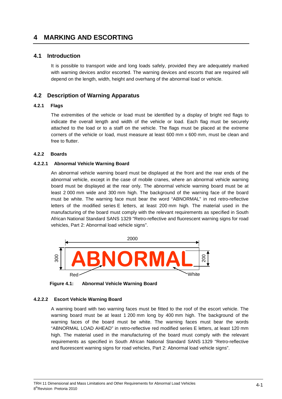# **4 MARKING AND ESCORTING**

### **4.1 Introduction**

It is possible to transport wide and long loads safely, provided they are adequately marked with warning devices and/or escorted. The warning devices and escorts that are required will depend on the length, width, height and overhang of the abnormal load or vehicle.

# **4.2 Description of Warning Apparatus**

#### **4.2.1 Flags**

The extremities of the vehicle or load must be identified by a display of bright red flags to indicate the overall length and width of the vehicle or load. Each flag must be securely attached to the load or to a staff on the vehicle. The flags must be placed at the extreme corners of the vehicle or load, must measure at least 600 mm x 600 mm, must be clean and free to flutter.

#### **4.2.2 Boards**

#### **4.2.2.1 Abnormal Vehicle Warning Board**

An abnormal vehicle warning board must be displayed at the front and the rear ends of the abnormal vehicle, except in the case of mobile cranes, where an abnormal vehicle warning board must be displayed at the rear only. The abnormal vehicle warning board must be at least 2 000 mm wide and 300 mm high. The background of the warning face of the board must be white. The warning face must bear the word "ABNORMAL" in red retro-reflective letters of the modified series E letters, at least 200 mm high. The material used in the manufacturing of the board must comply with the relevant requirements as specified in South African National Standard SANS 1329 "Retro-reflective and fluorescent warning signs for road vehicles, Part 2: Abnormal load vehicle signs".



**Figure 4.1: Abnormal Vehicle Warning Board** 

#### **4.2.2.2 Escort Vehicle Warning Board**

A warning board with two warning faces must be fitted to the roof of the escort vehicle. The warning board must be at least 1 200 mm long by 400 mm high. The background of the warning faces of the board must be white. The warning faces must bear the words "ABNORMAL LOAD AHEAD" in retro-reflective red modified series E letters, at least 120 mm high. The material used in the manufacturing of the board must comply with the relevant requirements as specified in South African National Standard SANS 1329 "Retro-reflective and fluorescent warning signs for road vehicles, Part 2: Abnormal load vehicle signs".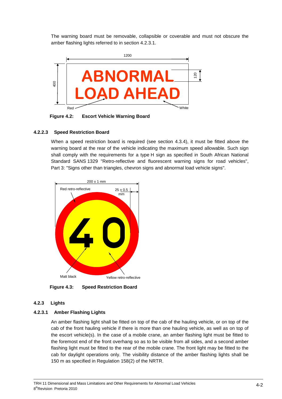The warning board must be removable, collapsible or coverable and must not obscure the amber flashing lights referred to in section 4.2.3.1.



**Figure 4.2: Escort Vehicle Warning Board** 

#### **4.2.2.3 Speed Restriction Board**

When a speed restriction board is required (see section 4.3.4), it must be fitted above the warning board at the rear of the vehicle indicating the maximum speed allowable. Such sign shall comply with the requirements for a type H sign as specified in South African National Standard SANS 1329 "Retro-reflective and fluorescent warning signs for road vehicles", Part 3: "Signs other than triangles, chevron signs and abnormal load vehicle signs".



**Figure 4.3: Speed Restriction Board** 

#### **4.2.3 Lights**

#### **4.2.3.1 Amber Flashing Lights**

An amber flashing light shall be fitted on top of the cab of the hauling vehicle, or on top of the cab of the front hauling vehicle if there is more than one hauling vehicle, as well as on top of the escort vehicle(s). In the case of a mobile crane, an amber flashing light must be fitted to the foremost end of the front overhang so as to be visible from all sides, and a second amber flashing light must be fitted to the rear of the mobile crane. The front light may be fitted to the cab for daylight operations only. The visibility distance of the amber flashing lights shall be 150 m as specified in Regulation 158(2) of the NRTR.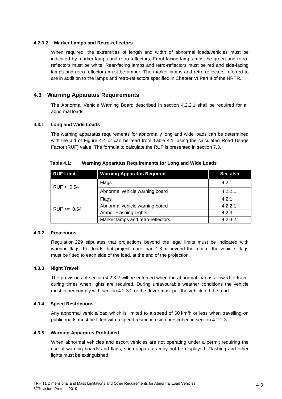#### **4.2.3.2 Marker Lamps and Retro-reflectors**

When required, the extremities of length and width of abnormal loads/vehicles must be indicated by marker lamps and retro-reflectors. Front-facing lamps must be green and retroreflectors must be white. Rear-facing lamps and retro-reflectors must be red and side-facing lamps and retro-reflectors must be amber. The marker lamps and retro-reflectors referred to are in addition to the lamps and retro-reflectors specified in Chapter VI Part II of the NRTR.

# **4.3 Warning Apparatus Requirements**

The Abnormal Vehicle Warning Board described in section 4.2.2.1 shall be required for all abnormal loads.

#### **4.3.1 Long and Wide Loads**

The warning apparatus requirements for abnormally long and wide loads can be determined with the aid of Figure 4.4 or can be read from Table 4.1, using the calculated Road Usage Factor (RUF) value. The formula to calculate the RUF is presented in section 7.3.

| <b>RUF Limit</b> | <b>Warning Apparatus Required</b> | See also |
|------------------|-----------------------------------|----------|
| RUF < 0.54       | Flags                             | 4.2.1    |
|                  | Abnormal vehicle warning board    | 4.2.2.1  |
| $RUF \ge 0,54$   | Flags                             | 4.2.1    |
|                  | Abnormal vehicle warning board    | 4.2.2.1  |
|                  | Amber Flashing Lights             | 4.2.3.1  |
|                  | Marker lamps and retro-reflectors | 4.2.3.2  |

#### **Table 4.1: Warning Apparatus Requirements for Long and Wide Loads**

#### **4.3.2 Projections**

Regulation 229 stipulates that projections beyond the legal limits must be indicated with warning flags. For loads that project more than 1,8 m beyond the rear of the vehicle, flags must be fitted to each side of the load, at the end of the projection.

#### **4.3.3 Night Travel**

The provisions of section 4.2.3.2 will be enforced when the abnormal load is allowed to travel during times when lights are required. During unfavourable weather conditions the vehicle must either comply with section 4.2.3.2 or the driver must pull the vehicle off the road.

#### **4.3.4 Speed Restrictions**

Any abnormal vehicle/load which is limited to a speed of 60 km/h or less when travelling on public roads must be fitted with a speed restriction sign prescribed in section 4.2.2.3.

#### **4.3.5 Warning Apparatus Prohibited**

When abnormal vehicles and escort vehicles are not operating under a permit requiring the use of warning boards and flags, such apparatus may not be displayed. Flashing and other lights must be extinguished.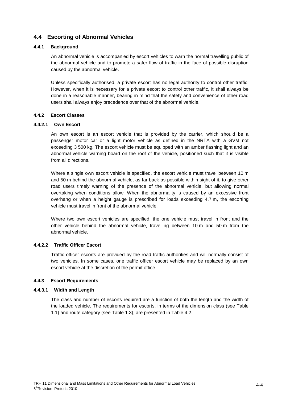# **4.4 Escorting of Abnormal Vehicles**

#### **4.4.1 Background**

An abnormal vehicle is accompanied by escort vehicles to warn the normal travelling public of the abnormal vehicle and to promote a safer flow of traffic in the face of possible disruption caused by the abnormal vehicle.

Unless specifically authorised, a private escort has no legal authority to control other traffic. However, when it is necessary for a private escort to control other traffic, it shall always be done in a reasonable manner, bearing in mind that the safety and convenience of other road users shall always enjoy precedence over that of the abnormal vehicle.

#### **4.4.2 Escort Classes**

#### **4.4.2.1 Own Escort**

An own escort is an escort vehicle that is provided by the carrier, which should be a passenger motor car or a light motor vehicle as defined in the NRTA with a GVM not exceeding 3 500 kg. The escort vehicle must be equipped with an amber flashing light and an abnormal vehicle warning board on the roof of the vehicle, positioned such that it is visible from all directions.

Where a single own escort vehicle is specified, the escort vehicle must travel between 10 m and 50 m behind the abnormal vehicle, as far back as possible within sight of it, to give other road users timely warning of the presence of the abnormal vehicle, but allowing normal overtaking when conditions allow. When the abnormality is caused by an excessive front overhang or when a height gauge is prescribed for loads exceeding 4,7 m, the escorting vehicle must travel in front of the abnormal vehicle.

Where two own escort vehicles are specified, the one vehicle must travel in front and the other vehicle behind the abnormal vehicle, travelling between 10 m and 50 m from the abnormal vehicle.

#### **4.4.2.2 Traffic Officer Escort**

Traffic officer escorts are provided by the road traffic authorities and will normally consist of two vehicles. In some cases, one traffic officer escort vehicle may be replaced by an own escort vehicle at the discretion of the permit office.

#### **4.4.3 Escort Requirements**

#### **4.4.3.1 Width and Length**

The class and number of escorts required are a function of both the length and the width of the loaded vehicle. The requirements for escorts, in terms of the dimension class (see Table 1.1) and route category (see Table 1.3), are presented in Table 4.2.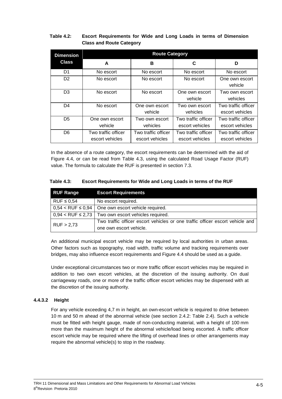#### **Table 4.2: Escort Requirements for Wide and Long Loads in terms of Dimension Class and Route Category**

| <b>Dimension</b> | <b>Route Category</b>                  |                                        |                                        |                                        |  |  |  |  |
|------------------|----------------------------------------|----------------------------------------|----------------------------------------|----------------------------------------|--|--|--|--|
| <b>Class</b>     | A                                      | в                                      | C                                      | D                                      |  |  |  |  |
| D1               | No escort                              | No escort                              | No escort                              | No escort                              |  |  |  |  |
| D <sub>2</sub>   | No escort                              | No escort                              | No escort                              | One own escort<br>vehicle              |  |  |  |  |
| D <sub>3</sub>   | No escort                              | No escort                              | One own escort<br>vehicle              | Two own escort<br>vehicles             |  |  |  |  |
| D4               | No escort                              | One own escort<br>vehicle              | Two own escort<br>vehicles             | Two traffic officer<br>escort vehicles |  |  |  |  |
| D <sub>5</sub>   | One own escort<br>vehicle              | Two own escort<br>vehicles             | Two traffic officer<br>escort vehicles | Two traffic officer<br>escort vehicles |  |  |  |  |
| D <sub>6</sub>   | Two traffic officer<br>escort vehicles | Two traffic officer<br>escort vehicles | Two traffic officer<br>escort vehicles | Two traffic officer<br>escort vehicles |  |  |  |  |

In the absence of a route category, the escort requirements can be determined with the aid of Figure 4.4, or can be read from Table 4.3, using the calculated Road Usage Factor (RUF) value. The formula to calculate the RUF is presented in section 7.3.

#### **Table 4.3: Escort Requirements for Wide and Long Loads in terms of the RUF**

| <b>RUF Range</b>         | <b>Escort Requirements</b>                                                    |
|--------------------------|-------------------------------------------------------------------------------|
| $RUF \leq 0.54$          | No escort required.                                                           |
| $0.54 <$ RUF $\leq 0.94$ | One own escort vehicle required.                                              |
|                          | $0.94 < RUF \leq 2.73$ Two own escort vehicles required.                      |
| RUF > 2,73               | Two traffic officer escort vehicles or one traffic officer escort vehicle and |
|                          | one own escort vehicle.                                                       |

An additional municipal escort vehicle may be required by local authorities in urban areas. Other factors such as topography, road width, traffic volume and tracking requirements over bridges, may also influence escort requirements and Figure 4.4 should be used as a guide.

Under exceptional circumstances two or more traffic officer escort vehicles may be required in addition to two own escort vehicles, at the discretion of the issuing authority. On dual carriageway roads, one or more of the traffic officer escort vehicles may be dispensed with at the discretion of the issuing authority.

#### **4.4.3.2 Height**

For any vehicle exceeding 4,7 m in height, an own-escort vehicle is required to drive between 10 m and 50 m ahead of the abnormal vehicle (see section 2.4.2: Table 2.4). Such a vehicle must be fitted with height gauge, made of non-conducting material, with a height of 100 mm more than the maximum height of the abnormal vehicle/load being escorted. A traffic officer escort vehicle may be required where the lifting of overhead lines or other arrangements may require the abnormal vehicle(s) to stop in the roadway.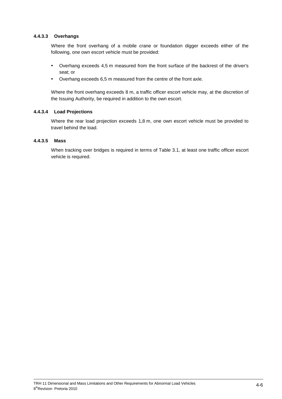#### **4.4.3.3 Overhangs**

Where the front overhang of a mobile crane or foundation digger exceeds either of the following, one own escort vehicle must be provided:

- Overhang exceeds 4,5 m measured from the front surface of the backrest of the driver's seat; or
- Overhang exceeds 6,5 m measured from the centre of the front axle.

Where the front overhang exceeds 8 m, a traffic officer escort vehicle may, at the discretion of the Issuing Authority, be required in addition to the own escort.

#### **4.4.3.4 Load Projections**

Where the rear load projection exceeds 1,8 m, one own escort vehicle must be provided to travel behind the load.

#### **4.4.3.5 Mass**

When tracking over bridges is required in terms of Table 3.1, at least one traffic officer escort vehicle is required.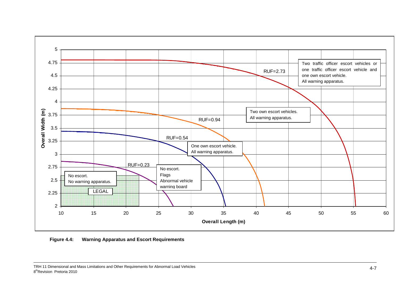

**Figure 4.4: Warning Apparatus and Escort Requirements**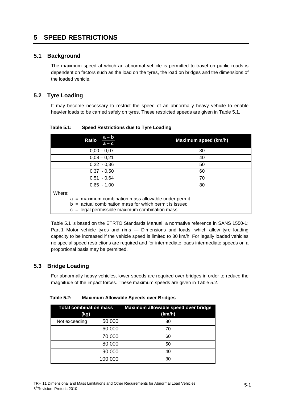# **5 SPEED RESTRICTIONS**

# **5.1 Background**

The maximum speed at which an abnormal vehicle is permitted to travel on public roads is dependent on factors such as the load on the tyres, the load on bridges and the dimensions of the loaded vehicle.

# **5.2 Tyre Loading**

It may become necessary to restrict the speed of an abnormally heavy vehicle to enable heavier loads to be carried safely on tyres. These restricted speeds are given in Table 5.1.

| $a - b$<br><b>Ratio</b><br>$a - c$                                                                                | Maximum speed (km/h) |  |  |  |
|-------------------------------------------------------------------------------------------------------------------|----------------------|--|--|--|
| $0,00 - 0,07$                                                                                                     | 30                   |  |  |  |
| $0,08 - 0,21$                                                                                                     | 40                   |  |  |  |
| $0,22 - 0,36$                                                                                                     | 50                   |  |  |  |
| $0.37 - 0.50$                                                                                                     | 60                   |  |  |  |
| $0.51 - 0.64$                                                                                                     | 70                   |  |  |  |
| $0,65 - 1,00$                                                                                                     | 80                   |  |  |  |
| Where:                                                                                                            |                      |  |  |  |
| $a =$ maximum combination mass allowable under permit<br>$b =$ actual combination mass for which permit is issued |                      |  |  |  |
| $c =$ legal permissible maximum combination mass                                                                  |                      |  |  |  |

**Table 5.1: Speed Restrictions due to Tyre Loading** 

Table 5.1 is based on the ETRTO Standards Manual, a normative reference in SANS 1550-1: Part 1 Motor vehicle tyres and rims — Dimensions and loads, which allow tyre loading capacity to be increased if the vehicle speed is limited to 30 km/h. For legally loaded vehicles no special speed restrictions are required and for intermediate loads intermediate speeds on a proportional basis may be permitted.

# **5.3 Bridge Loading**

For abnormally heavy vehicles, lower speeds are required over bridges in order to reduce the magnitude of the impact forces. These maximum speeds are given in Table 5.2.

| <b>Total combination mass</b><br>(kg) |         | Maximum allowable speed over bridge<br>(km/h) |
|---------------------------------------|---------|-----------------------------------------------|
| Not exceeding                         | 50 000  | 80                                            |
|                                       | 60 000  | 70                                            |
|                                       | 70 000  | 60                                            |
|                                       | 80 000  | 50                                            |
|                                       | 90 000  | 40                                            |
|                                       | 100 000 | 30                                            |

**Table 5.2: Maximum Allowable Speeds over Bridges**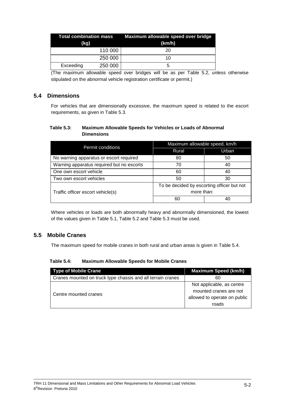| (kg)      |         | Total combination mass Maximum allowable speed over bridge<br>(km/h) |
|-----------|---------|----------------------------------------------------------------------|
|           | 110 000 | 20                                                                   |
|           | 250 000 | 10                                                                   |
| Exceeding | 250 000 | h                                                                    |

(The maximum allowable speed over bridges will be as per Table 5.2, unless otherwise stipulated on the abnormal vehicle registration certificate or permit.)

### **5.4 Dimensions**

For vehicles that are dimensionally excessive, the maximum speed is related to the escort requirements, as given in Table 5.3.

#### **Table 5.3: Maximum Allowable Speeds for Vehicles or Loads of Abnormal Dimensions**

| Permit conditions                         | Maximum allowable speed, km/h              |       |  |  |
|-------------------------------------------|--------------------------------------------|-------|--|--|
|                                           | Rural                                      | Urban |  |  |
| No warning apparatus or escort required   | 80                                         | 50    |  |  |
| Warning apparatus required but no escorts | 70                                         | 40    |  |  |
| One own escort vehicle                    | 60                                         | 40    |  |  |
| Two own escort vehicles                   | 50                                         | 30    |  |  |
|                                           | To be decided by escorting officer but not |       |  |  |
| Traffic officer escort vehicle(s)         | more than:                                 |       |  |  |
|                                           | 60                                         |       |  |  |

Where vehicles or loads are both abnormally heavy and abnormally dimensioned, the lowest of the values given in Table 5.1, Table 5.2 and Table 5.3 must be used.

# **5.5 Mobile Cranes**

The maximum speed for mobile cranes in both rural and urban areas is given in Table 5.4.

#### **Table 5.4: Maximum Allowable Speeds for Mobile Cranes**

| <b>Type of Mobile Crane</b>                                 | <b>Maximum Speed (km/h)</b>  |
|-------------------------------------------------------------|------------------------------|
| Cranes mounted on truck type chassis and all terrain cranes | 60                           |
|                                                             | Not applicable, as centre    |
| Centre mounted cranes                                       | mounted cranes are not       |
|                                                             | allowed to operate on public |
|                                                             | roads                        |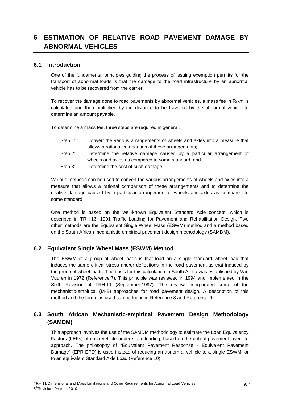# **6 ESTIMATION OF RELATIVE ROAD PAVEMENT DAMAGE BY ABNORMAL VEHICLES**

#### **6.1 Introduction**

One of the fundamental principles guiding the process of issuing exemption permits for the transport of abnormal loads is that the damage to the road infrastructure by an abnormal vehicle has to be recovered from the carrier.

To recover the damage done to road pavements by abnormal vehicles, a mass fee in R/km is calculated and then multiplied by the distance to be travelled by the abnormal vehicle to determine an amount payable.

To determine a mass fee, three steps are required in general:

- Step 1: Convert the various arrangements of wheels and axles into a measure that allows a rational comparison of these arrangements;
- Step 2: Determine the relative damage caused by a particular arrangement of wheels and axles as compared to some standard; and
- Step 3: Determine the cost of such damage

Various methods can be used to convert the various arrangements of wheels and axles into a measure that allows a rational comparison of these arrangements and to determine the relative damage caused by a particular arrangement of wheels and axles as compared to some standard.

One method is based on the well-known Equivalent Standard Axle concept, which is described in TRH 16: 1991 Traffic Loading for Pavement and Rehabilitation Design. Two other methods are the Equivalent Single Wheel Mass (ESWM) method and a method based on the South African mechanistic-empirical pavement design methodology (SAMDM).

#### **6.2 Equivalent Single Wheel Mass (ESWM) Method**

The ESWM of a group of wheel loads is that load on a single standard wheel load that induces the same critical stress and/or deflections in the road pavement as that induced by the group of wheel loads. The basis for this calculation in South Africa was established by Van Vuuren in 1972 (Reference 7). This principle was reviewed in 1994 and implemented in the Sixth Revision of TRH 11 (September 1997). The review incorporated some of the mechanistic-empirical (M-E) approaches for road pavement design. A description of this method and the formulas used can be found in Reference 8 and Reference 9.

# **6.3 South African Mechanistic-empirical Pavement Design Methodology (SAMDM)**

This approach involves the use of the SAMDM methodology to estimate the Load Equivalency Factors (LEFs) of each vehicle under static loading, based on the critical pavement layer life approach. The philosophy of "Equivalent Pavement Response - Equivalent Pavement Damage" (EPR-EPD) is used instead of reducing an abnormal vehicle to a single ESWM, or to an equivalent Standard Axle Load (Reference 10).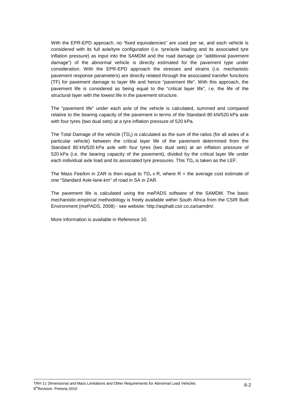With the EPR-EPD approach, no "fixed equivalencies" are used per se, and each vehicle is considered with its full axle/tyre configuration (i.e. tyre/axle loading and its associated tyre inflation pressure) as input into the SAMDM and the road damage (or "additional pavement damage") of the abnormal vehicle is directly estimated for the pavement type under consideration. With the EPR-EPD approach the stresses and strains (i.e. mechanistic pavement response parameters) are directly related through the associated transfer functions (TF) for pavement damage to layer life and hence "pavement life". With this approach, the pavement life is considered as being equal to the "critical layer life", i.e. the life of the structural layer with the lowest life in the pavement structure.

The "pavement life" under each axle of the vehicle is calculated, summed and compared relative to the bearing capacity of the pavement in terms of the Standard 80 kN/520 kPa axle with four tyres (two dual sets) at a tyre inflation pressure of 520 kPa.

The Total Damage of the vehicle  $(TD<sub>v</sub>)$  is calculated as the sum of the ratios (for all axles of a particular vehicle) between the critical layer life of the pavement determined from the Standard 80 kN/520 kPa axle with four tyres (two dual sets) at an inflation pressure of 520 kPa (i.e. the bearing capacity of the pavement), divided by the critical layer life under each individual axle load and its associated tyre pressures. This  $TD<sub>v</sub>$  is taken as the LEF.

The Mass Fee/km in ZAR is then equal to  $TD_v \times R$ , where R = the average cost estimate of one "Standard Axle-lane-km" of road in SA in ZAR.

The pavement life is calculated using the mePADS software of the SAMDM. The basic mechanistic-empirical methodology is freely available within South Africa from the CSIR Built Environment (mePADS, 2008) - see website: http://asphalt.csir.co.za/samdm/.

More information is available in Reference 10.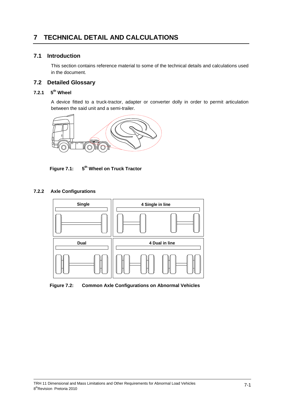# **7 TECHNICAL DETAIL AND CALCULATIONS**

### **7.1 Introduction**

This section contains reference material to some of the technical details and calculations used in the document.

# **7.2 Detailed Glossary**

# **7.2.1 5th Wheel**

A device fitted to a truck-tractor, adapter or converter dolly in order to permit articulation between the said unit and a semi-trailer.



**Figure 7.1: 5th Wheel on Truck Tractor** 



#### **7.2.2 Axle Configurations**

**Figure 7.2: Common Axle Configurations on Abnormal Vehicles**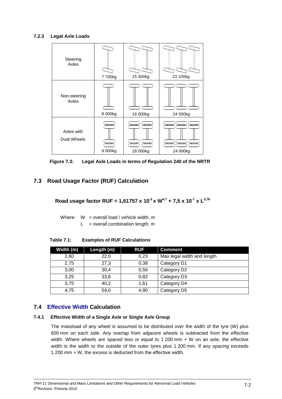#### **7.2.3 Legal Axle Loads**



**Figure 7.3: Legal Axle Loads in terms of Regulation 240 of the NRTR** 

# **7.3 Road Usage Factor (RUF) Calculation**

**Road usage factor RUF = 1,61757 x 10-3 x W4.7 + 7,5 x 10-7 x L3,76**

Where:  $W =$  overall load / vehicle width, m  $L =$  overall combination length, m

| Width (m) | Length (m) | <b>RUF</b> | <b>Comment</b>             |
|-----------|------------|------------|----------------------------|
| 2,60      | 22,0       | 0,23       | Max legal width and length |
| 2,75      | 27,3       | 0,38       | Category D1                |
| 3,00      | 30,4       | 0,56       | Category D2                |
| 3.25      | 33,6       | 0,82       | Category D3                |
| 3,75      | 40,2       | 1.61       | Category D4                |
| 4,75      | 54,0       | 4,90       | Category D5                |

**Table 7.1: Examples of RUF Calculations** 

# **7.4 Effective Width Calculation**

#### **7.4.1 Effective Width of a Single Axle or Single Axle Group**

The massload of any wheel is assumed to be distributed over the width of the tyre (W) plus 600 mm on each side. Any overlap from adjacent wheels is subtracted from the effective width. Where wheels are spaced less or equal to 1 200 mm + W on an axle, the effective width is the width to the outside of the outer tyres plus 1 200 mm. If any spacing exceeds 1 200 mm + W, the excess is deducted from the effective width.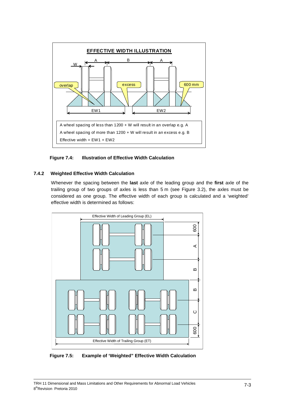

**Figure 7.4: Illustration of Effective Width Calculation**

### **7.4.2 Weighted Effective Width Calculation**

Whenever the spacing between the **last** axle of the leading group and the **first** axle of the trailing group of two groups of axles is less than 5 m (see Figure 3.2), the axles must be considered as one group. The effective width of each group is calculated and a 'weighted' effective width is determined as follows:



**Figure 7.5: Example of 'Weighted" Effective Width Calculation**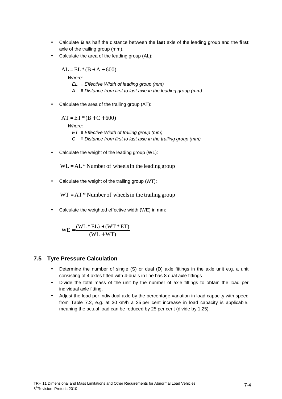- Calculate **B** as half the distance between the **last** axle of the leading group and the **first** axle of the trailing group (mm).
- Calculate the area of the leading group (AL):

 $AL = EL * (B + A + 600)$ Where:  $EL$  ≡ Effective Width of leading group (mm) A  $≡ Distance from first to last axle in the leading group (mm)$ 

• Calculate the area of the trailing group (AT):

 $AT = ET * (B + C + 600)$ Where:  $ET \equiv$  Effective Width of trailing group (mm)  $C \equiv$  Distance from first to last axle in the trailing group (mm)

Calculate the weight of the leading group (WL):

 $WL = AL*$  Number of wheels in the leading group

• Calculate the weight of the trailing group (WT):

 $WT = AT^*$  Number of wheels in the trailing group

• Calculate the weighted effective width (WE) in mm:

$$
WE = \frac{(WL * EL) + (WT * ET)}{(WL + WT)}
$$

# **7.5 Tyre Pressure Calculation**

- Determine the number of single (S) or dual (D) axle fittings in the axle unit e.g. a unit consisting of 4 axles fitted with 4-duals in line has 8 dual axle fittings.
- Divide the total mass of the unit by the number of axle fittings to obtain the load per individual axle fitting.
- Adjust the load per individual axle by the percentage variation in load capacity with speed from Table 7.2, e.g. at 30 km/h a 25 per cent increase in load capacity is applicable, meaning the actual load can be reduced by 25 per cent (divide by 1,25).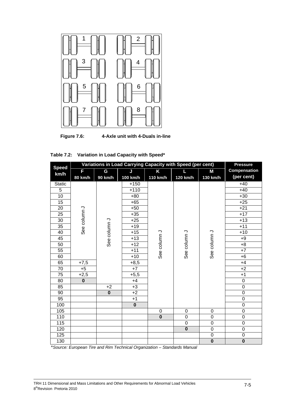

**Figure 7.6: 4-Axle unit with 4-Duals in-line** 

|                 | Variations in Load Carrying Capacity with Speed (per cent) | <b>Pressure</b> |                                                                |                         |                         |                         |                         |
|-----------------|------------------------------------------------------------|-----------------|----------------------------------------------------------------|-------------------------|-------------------------|-------------------------|-------------------------|
| <b>Speed</b>    | F                                                          | G               | J                                                              | Κ                       | L                       | Μ                       | <b>Compensation</b>     |
| km/h            | 80 km/h                                                    | 90 km/h         | 100 km/h                                                       | 110 km/h                | 120 km/h                | 130 km/h                | (per cent)              |
| <b>Static</b>   |                                                            |                 | $+150$                                                         |                         |                         |                         | $+40$                   |
| 5               |                                                            |                 | $+110$                                                         |                         |                         |                         | $+40$                   |
| 10              |                                                            |                 | $+80$                                                          |                         |                         |                         | $+30$                   |
| 15              |                                                            |                 | $+65$                                                          |                         |                         |                         | $+25$                   |
| 20              |                                                            |                 | $+50$                                                          |                         |                         |                         | $+21$                   |
| $\overline{25}$ |                                                            |                 | $+35$                                                          |                         |                         |                         | $+17$                   |
| 30              | See column J                                               |                 | $+25$                                                          |                         |                         |                         | $+13$                   |
| 35              |                                                            |                 | $+19$                                                          |                         |                         |                         | $+11$                   |
| 40              |                                                            |                 | $+15$                                                          |                         |                         |                         | $+10$                   |
| 45              |                                                            |                 | See column J<br>See column J<br>See column J<br>$+13$<br>$+12$ |                         | $+9$                    |                         |                         |
| 50              |                                                            |                 |                                                                |                         |                         | $+8$                    |                         |
| 55              |                                                            |                 | $+11$                                                          |                         |                         | See column J            | $+7$                    |
| 60              |                                                            |                 | $+10$                                                          |                         |                         |                         | $+6$                    |
| 65              | $+7,5$                                                     |                 | $+8,5$                                                         |                         |                         |                         | $+4$                    |
| 70              | $+5$                                                       | $+7$<br>$+5,5$  |                                                                |                         |                         | $+2$                    |                         |
| 75              | $+2,5$                                                     |                 |                                                                |                         | $+1$                    |                         |                         |
| 80              | $\overline{\mathbf{0}}$                                    |                 | $+4$                                                           |                         |                         |                         | $\mathbf 0$             |
| 85              |                                                            | $+2$            | $+3$                                                           |                         |                         |                         | $\mathbf 0$             |
| 90              |                                                            | $\pmb{0}$       | $+2$                                                           |                         |                         |                         | $\mathbf 0$             |
| 95              |                                                            |                 | $+1$                                                           |                         |                         |                         | $\mathbf 0$             |
| 100             |                                                            |                 | $\overline{\mathbf{0}}$                                        |                         |                         |                         | $\overline{0}$          |
| 105             |                                                            |                 |                                                                | $\boldsymbol{0}$        | $\mathbf 0$             | $\mathsf 0$             | $\mathbf 0$             |
| 110             |                                                            |                 |                                                                | $\overline{\mathbf{0}}$ | $\overline{0}$          | $\overline{0}$          | $\overline{0}$          |
| 115             |                                                            |                 |                                                                |                         | $\overline{0}$          | $\overline{0}$          | $\overline{0}$          |
| 120             |                                                            |                 |                                                                |                         | $\overline{\mathbf{0}}$ | 0                       | $\mathbf 0$             |
| 125             |                                                            |                 |                                                                |                         |                         | $\boldsymbol{0}$        | $\pmb{0}$               |
| 130             |                                                            |                 |                                                                |                         |                         | $\overline{\mathbf{0}}$ | $\overline{\mathbf{0}}$ |

\*Source: European Tire and Rim Technical Organization – Standards Manual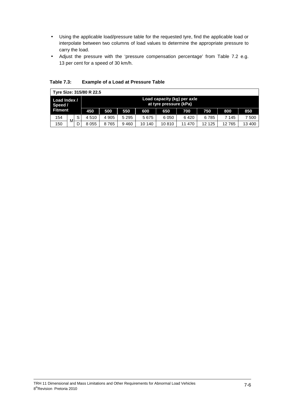- Using the applicable load/pressure table for the requested tyre, find the applicable load or interpolate between two columns of load values to determine the appropriate pressure to carry the load.
- Adjust the pressure with the 'pressure compensation percentage' from Table 7.2 e.g. 13 per cent for a speed of 30 km/h.

| Tyre Size: 315/80 R 22.5 |   |   |                                                       |       |         |        |         |        |         |       |        |
|--------------------------|---|---|-------------------------------------------------------|-------|---------|--------|---------|--------|---------|-------|--------|
| Load Index /<br>Speed /  |   |   | Load capacity (kg) per axle<br>at tyre pressure (kPa) |       |         |        |         |        |         |       |        |
| <b>Fitment</b>           |   |   | 450                                                   | 500   | 550     | 600    | 650     | 700    | 750     | 800   | 850    |
| 154                      | м | S | 4 5 1 0                                               | 4 905 | 5 2 9 5 | 5675   | 6 0 5 0 | 6420   | 6785    | 7 145 | 7 500  |
| 150                      |   | D | 8 0 5 5                                               | 8765  | 9460    | 10 140 | 10810   | 11 470 | 12 1 25 | 12765 | 13 400 |

**Table 7.3: Example of a Load at Pressure Table**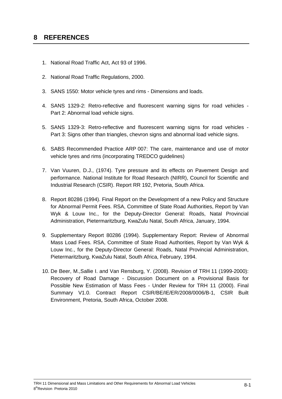# **8 REFERENCES**

- 1. National Road Traffic Act, Act 93 of 1996.
- 2. National Road Traffic Regulations, 2000.
- 3. SANS 1550: Motor vehicle tyres and rims Dimensions and loads.
- 4. SANS 1329-2: Retro-reflective and fluorescent warning signs for road vehicles Part 2: Abnormal load vehicle signs.
- 5. SANS 1329-3: Retro-reflective and fluorescent warning signs for road vehicles Part 3: Signs other than triangles, chevron signs and abnormal load vehicle signs.
- 6. SABS Recommended Practice ARP 007: The care, maintenance and use of motor vehicle tyres and rims (incorporating TREDCO guidelines)
- 7. Van Vuuren, D.J., (1974). Tyre pressure and its effects on Pavement Design and performance. National Institute for Road Research (NIRR), Council for Scientific and Industrial Research (CSIR). Report RR 192, Pretoria, South Africa.
- 8. Report 80286 (1994). Final Report on the Development of a new Policy and Structure for Abnormal Permit Fees. RSA, Committee of State Road Authorities, Report by Van Wyk & Louw Inc., for the Deputy-Director General: Roads, Natal Provincial Administration, Pietermaritzburg, KwaZulu Natal, South Africa, January, 1994.
- 9. Supplementary Report 80286 (1994). Supplementary Report: Review of Abnormal Mass Load Fees. RSA, Committee of State Road Authorities, Report by Van Wyk & Louw Inc., for the Deputy-Director General: Roads, Natal Provincial Administration, Pietermaritzburg, KwaZulu Natal, South Africa, February, 1994.
- 10. De Beer, M.,Sallie I. and Van Rensburg, Y. (2008). Revision of TRH 11 (1999-2000): Recovery of Road Damage - Discussion Document on a Provisional Basis for Possible New Estimation of Mass Fees - Under Review for TRH 11 (2000). Final Summary V1.0. Contract Report CSIR/BE/IE/ER/2008/0006/B-1, CSIR Built Environment, Pretoria, South Africa, October 2008.